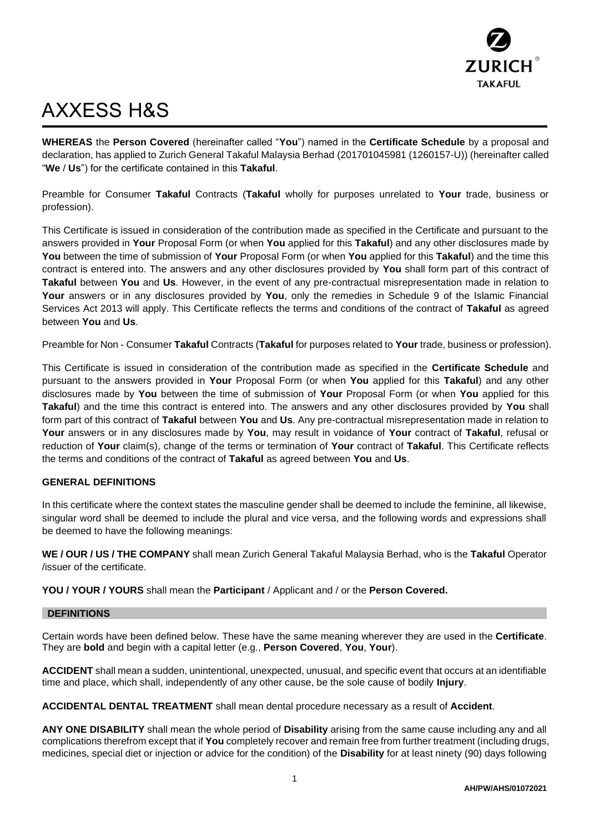

# AXXESS H&S

**WHEREAS** the **Person Covered** (hereinafter called "**You**") named in the **Certificate Schedule** by a proposal and declaration, has applied to Zurich General Takaful Malaysia Berhad (201701045981 (1260157-U)) (hereinafter called "**We** / **Us**") for the certificate contained in this **Takaful**.

Preamble for Consumer **Takaful** Contracts (**Takaful** wholly for purposes unrelated to **Your** trade, business or profession).

This Certificate is issued in consideration of the contribution made as specified in the Certificate and pursuant to the answers provided in **Your** Proposal Form (or when **You** applied for this **Takaful**) and any other disclosures made by **You** between the time of submission of **Your** Proposal Form (or when **You** applied for this **Takaful**) and the time this contract is entered into. The answers and any other disclosures provided by **You** shall form part of this contract of **Takaful** between **You** and **Us**. However, in the event of any pre-contractual misrepresentation made in relation to **Your** answers or in any disclosures provided by **You**, only the remedies in Schedule 9 of the Islamic Financial Services Act 2013 will apply. This Certificate reflects the terms and conditions of the contract of **Takaful** as agreed between **You** and **Us**.

Preamble for Non - Consumer **Takaful** Contracts (**Takaful** for purposes related to **Your** trade, business or profession).

This Certificate is issued in consideration of the contribution made as specified in the **Certificate Schedule** and pursuant to the answers provided in **Your** Proposal Form (or when **You** applied for this **Takaful**) and any other disclosures made by **You** between the time of submission of **Your** Proposal Form (or when **You** applied for this **Takaful**) and the time this contract is entered into. The answers and any other disclosures provided by **You** shall form part of this contract of **Takaful** between **You** and **Us**. Any pre-contractual misrepresentation made in relation to **Your** answers or in any disclosures made by **You**, may result in voidance of **Your** contract of **Takaful**, refusal or reduction of **Your** claim(s), change of the terms or termination of **Your** contract of **Takaful**. This Certificate reflects the terms and conditions of the contract of **Takaful** as agreed between **You** and **Us**.

## **GENERAL DEFINITIONS**

In this certificate where the context states the masculine gender shall be deemed to include the feminine, all likewise, singular word shall be deemed to include the plural and vice versa, and the following words and expressions shall be deemed to have the following meanings:

**WE / OUR / US / THE COMPANY** shall mean Zurich General Takaful Malaysia Berhad, who is the **Takaful** Operator /issuer of the certificate.

**YOU / YOUR / YOURS** shall mean the **Participant** / Applicant and / or the **Person Covered.**

## **DEFINITIONS**

Certain words have been defined below. These have the same meaning wherever they are used in the **Certificate**. They are **bold** and begin with a capital letter (e.g., **Person Covered**, **You**, **Your**).

**ACCIDENT** shall mean a sudden, unintentional, unexpected, unusual, and specific event that occurs at an identifiable time and place, which shall, independently of any other cause, be the sole cause of bodily **Injury**.

**ACCIDENTAL DENTAL TREATMENT** shall mean dental procedure necessary as a result of **Accident**.

**ANY ONE DISABILITY** shall mean the whole period of **Disability** arising from the same cause including any and all complications therefrom except that if **You** completely recover and remain free from further treatment (including drugs, medicines, special diet or injection or advice for the condition) of the **Disability** for at least ninety (90) days following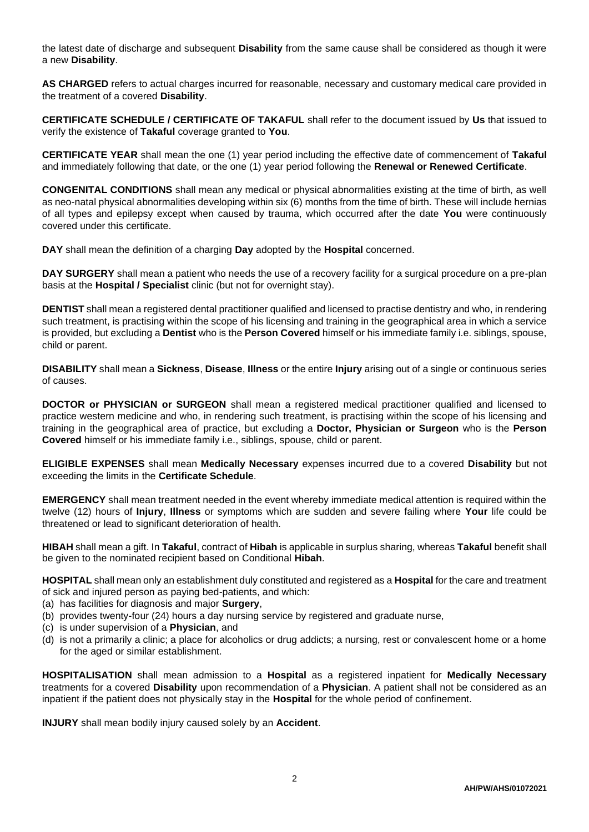the latest date of discharge and subsequent **Disability** from the same cause shall be considered as though it were a new **Disability**.

**AS CHARGED** refers to actual charges incurred for reasonable, necessary and customary medical care provided in the treatment of a covered **Disability**.

**CERTIFICATE SCHEDULE / CERTIFICATE OF TAKAFUL** shall refer to the document issued by **Us** that issued to verify the existence of **Takaful** coverage granted to **You**.

**CERTIFICATE YEAR** shall mean the one (1) year period including the effective date of commencement of **Takaful** and immediately following that date, or the one (1) year period following the **Renewal or Renewed Certificate**.

**CONGENITAL CONDITIONS** shall mean any medical or physical abnormalities existing at the time of birth, as well as neo-natal physical abnormalities developing within six (6) months from the time of birth. These will include hernias of all types and epilepsy except when caused by trauma, which occurred after the date **You** were continuously covered under this certificate.

**DAY** shall mean the definition of a charging **Day** adopted by the **Hospital** concerned.

**DAY SURGERY** shall mean a patient who needs the use of a recovery facility for a surgical procedure on a pre-plan basis at the **Hospital / Specialist** clinic (but not for overnight stay).

**DENTIST** shall mean a registered dental practitioner qualified and licensed to practise dentistry and who, in rendering such treatment, is practising within the scope of his licensing and training in the geographical area in which a service is provided, but excluding a **Dentist** who is the **Person Covered** himself or his immediate family i.e. siblings, spouse, child or parent.

**DISABILITY** shall mean a **Sickness**, **Disease**, **Illness** or the entire **Injury** arising out of a single or continuous series of causes.

**DOCTOR or PHYSICIAN or SURGEON** shall mean a registered medical practitioner qualified and licensed to practice western medicine and who, in rendering such treatment, is practising within the scope of his licensing and training in the geographical area of practice, but excluding a **Doctor, Physician or Surgeon** who is the **Person Covered** himself or his immediate family i.e., siblings, spouse, child or parent.

**ELIGIBLE EXPENSES** shall mean **Medically Necessary** expenses incurred due to a covered **Disability** but not exceeding the limits in the **Certificate Schedule**.

**EMERGENCY** shall mean treatment needed in the event whereby immediate medical attention is required within the twelve (12) hours of **Injury**, **Illness** or symptoms which are sudden and severe failing where **Your** life could be threatened or lead to significant deterioration of health.

**HIBAH** shall mean a gift. In **Takaful**, contract of **Hibah** is applicable in surplus sharing, whereas **Takaful** benefit shall be given to the nominated recipient based on Conditional **Hibah**.

**HOSPITAL** shall mean only an establishment duly constituted and registered as a **Hospital** for the care and treatment of sick and injured person as paying bed-patients, and which:

- (a) has facilities for diagnosis and major **Surgery**,
- (b) provides twenty-four (24) hours a day nursing service by registered and graduate nurse,
- (c) is under supervision of a **Physician**, and
- (d) is not a primarily a clinic; a place for alcoholics or drug addicts; a nursing, rest or convalescent home or a home for the aged or similar establishment.

**HOSPITALISATION** shall mean admission to a **Hospital** as a registered inpatient for **Medically Necessary** treatments for a covered **Disability** upon recommendation of a **Physician**. A patient shall not be considered as an inpatient if the patient does not physically stay in the **Hospital** for the whole period of confinement.

**INJURY** shall mean bodily injury caused solely by an **Accident**.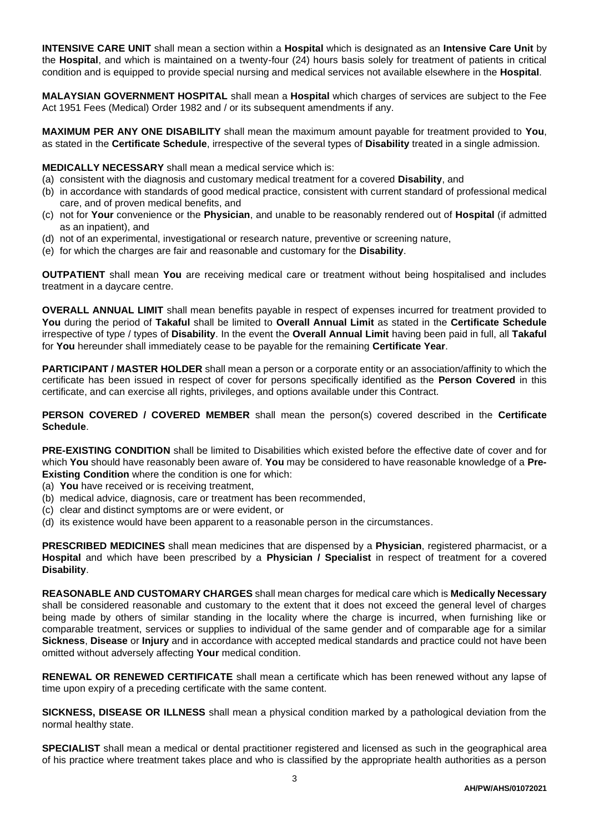**INTENSIVE CARE UNIT** shall mean a section within a **Hospital** which is designated as an **Intensive Care Unit** by the **Hospital**, and which is maintained on a twenty-four (24) hours basis solely for treatment of patients in critical condition and is equipped to provide special nursing and medical services not available elsewhere in the **Hospital**.

**MALAYSIAN GOVERNMENT HOSPITAL** shall mean a **Hospital** which charges of services are subject to the Fee Act 1951 Fees (Medical) Order 1982 and / or its subsequent amendments if any.

**MAXIMUM PER ANY ONE DISABILITY** shall mean the maximum amount payable for treatment provided to **You**, as stated in the **Certificate Schedule**, irrespective of the several types of **Disability** treated in a single admission.

**MEDICALLY NECESSARY** shall mean a medical service which is:

- (a) consistent with the diagnosis and customary medical treatment for a covered **Disability**, and
- (b) in accordance with standards of good medical practice, consistent with current standard of professional medical care, and of proven medical benefits, and
- (c) not for **Your** convenience or the **Physician**, and unable to be reasonably rendered out of **Hospital** (if admitted as an inpatient), and
- (d) not of an experimental, investigational or research nature, preventive or screening nature,
- (e) for which the charges are fair and reasonable and customary for the **Disability**.

**OUTPATIENT** shall mean **You** are receiving medical care or treatment without being hospitalised and includes treatment in a daycare centre.

**OVERALL ANNUAL LIMIT** shall mean benefits payable in respect of expenses incurred for treatment provided to **You** during the period of **Takaful** shall be limited to **Overall Annual Limit** as stated in the **Certificate Schedule** irrespective of type / types of **Disability**. In the event the **Overall Annual Limit** having been paid in full, all **Takaful** for **You** hereunder shall immediately cease to be payable for the remaining **Certificate Year**.

**PARTICIPANT / MASTER HOLDER** shall mean a person or a corporate entity or an association/affinity to which the certificate has been issued in respect of cover for persons specifically identified as the **Person Covered** in this certificate, and can exercise all rights, privileges, and options available under this Contract.

**PERSON COVERED / COVERED MEMBER** shall mean the person(s) covered described in the **Certificate Schedule**.

**PRE-EXISTING CONDITION** shall be limited to Disabilities which existed before the effective date of cover and for which **You** should have reasonably been aware of. **You** may be considered to have reasonable knowledge of a **Pre-Existing Condition** where the condition is one for which:

- (a) **You** have received or is receiving treatment,
- (b) medical advice, diagnosis, care or treatment has been recommended,
- (c) clear and distinct symptoms are or were evident, or
- (d) its existence would have been apparent to a reasonable person in the circumstances.

**PRESCRIBED MEDICINES** shall mean medicines that are dispensed by a **Physician**, registered pharmacist, or a **Hospital** and which have been prescribed by a **Physician / Specialist** in respect of treatment for a covered **Disability**.

**REASONABLE AND CUSTOMARY CHARGES** shall mean charges for medical care which is **Medically Necessary** shall be considered reasonable and customary to the extent that it does not exceed the general level of charges being made by others of similar standing in the locality where the charge is incurred, when furnishing like or comparable treatment, services or supplies to individual of the same gender and of comparable age for a similar **Sickness**, **Disease** or **Injury** and in accordance with accepted medical standards and practice could not have been omitted without adversely affecting **Your** medical condition.

**RENEWAL OR RENEWED CERTIFICATE** shall mean a certificate which has been renewed without any lapse of time upon expiry of a preceding certificate with the same content.

**SICKNESS, DISEASE OR ILLNESS** shall mean a physical condition marked by a pathological deviation from the normal healthy state.

**SPECIALIST** shall mean a medical or dental practitioner registered and licensed as such in the geographical area of his practice where treatment takes place and who is classified by the appropriate health authorities as a person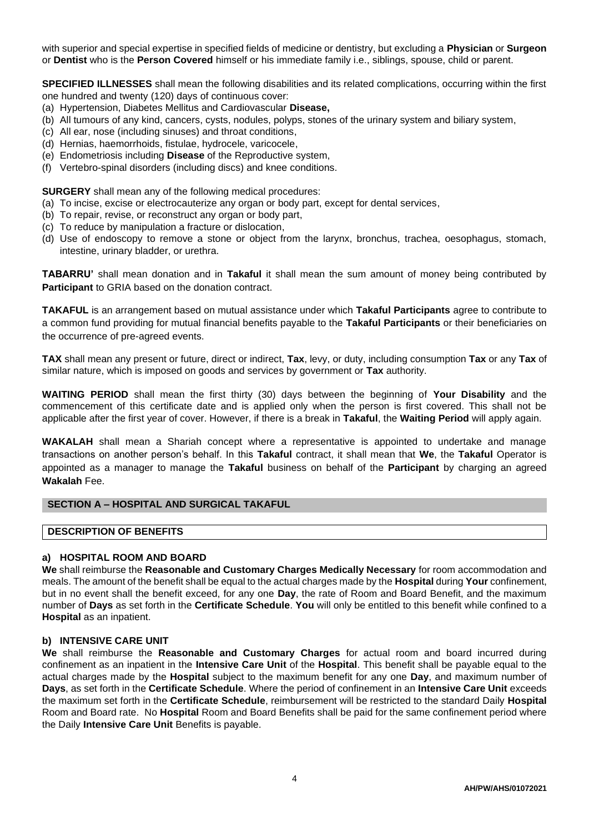with superior and special expertise in specified fields of medicine or dentistry, but excluding a **Physician** or **Surgeon** or **Dentist** who is the **Person Covered** himself or his immediate family i.e., siblings, spouse, child or parent.

**SPECIFIED ILLNESSES** shall mean the following disabilities and its related complications, occurring within the first one hundred and twenty (120) days of continuous cover:

- (a) Hypertension, Diabetes Mellitus and Cardiovascular **Disease,**
- (b) All tumours of any kind, cancers, cysts, nodules, polyps, stones of the urinary system and biliary system,
- (c) All ear, nose (including sinuses) and throat conditions,
- (d) Hernias, haemorrhoids, fistulae, hydrocele, varicocele,
- (e) Endometriosis including **Disease** of the Reproductive system,
- (f) Vertebro-spinal disorders (including discs) and knee conditions.

**SURGERY** shall mean any of the following medical procedures:

- (a) To incise, excise or electrocauterize any organ or body part, except for dental services,
- (b) To repair, revise, or reconstruct any organ or body part,
- (c) To reduce by manipulation a fracture or dislocation,
- (d) Use of endoscopy to remove a stone or object from the larynx, bronchus, trachea, oesophagus, stomach, intestine, urinary bladder, or urethra.

**TABARRU'** shall mean donation and in **Takaful** it shall mean the sum amount of money being contributed by **Participant** to GRIA based on the donation contract.

**TAKAFUL** is an arrangement based on mutual assistance under which **Takaful Participants** agree to contribute to a common fund providing for mutual financial benefits payable to the **Takaful Participants** or their beneficiaries on the occurrence of pre-agreed events.

**TAX** shall mean any present or future, direct or indirect, **Tax**, levy, or duty, including consumption **Tax** or any **Tax** of similar nature, which is imposed on goods and services by government or **Tax** authority.

**WAITING PERIOD** shall mean the first thirty (30) days between the beginning of **Your Disability** and the commencement of this certificate date and is applied only when the person is first covered. This shall not be applicable after the first year of cover. However, if there is a break in **Takaful**, the **Waiting Period** will apply again.

**WAKALAH** shall mean a Shariah concept where a representative is appointed to undertake and manage transactions on another person's behalf. In this **Takaful** contract, it shall mean that **We**, the **Takaful** Operator is appointed as a manager to manage the **Takaful** business on behalf of the **Participant** by charging an agreed **Wakalah** Fee.

# **SECTION A – HOSPITAL AND SURGICAL TAKAFUL**

#### **DESCRIPTION OF BENEFITS**

## **a) HOSPITAL ROOM AND BOARD**

**We** shall reimburse the **Reasonable and Customary Charges Medically Necessary** for room accommodation and meals. The amount of the benefit shall be equal to the actual charges made by the **Hospital** during **Your** confinement, but in no event shall the benefit exceed, for any one **Day**, the rate of Room and Board Benefit, and the maximum number of **Days** as set forth in the **Certificate Schedule**. **You** will only be entitled to this benefit while confined to a **Hospital** as an inpatient.

#### **b) INTENSIVE CARE UNIT**

**We** shall reimburse the **Reasonable and Customary Charges** for actual room and board incurred during confinement as an inpatient in the **Intensive Care Unit** of the **Hospital**. This benefit shall be payable equal to the actual charges made by the **Hospital** subject to the maximum benefit for any one **Day**, and maximum number of **Days**, as set forth in the **Certificate Schedule**. Where the period of confinement in an **Intensive Care Unit** exceeds the maximum set forth in the **Certificate Schedule**, reimbursement will be restricted to the standard Daily **Hospital** Room and Board rate. No **Hospital** Room and Board Benefits shall be paid for the same confinement period where the Daily **Intensive Care Unit** Benefits is payable.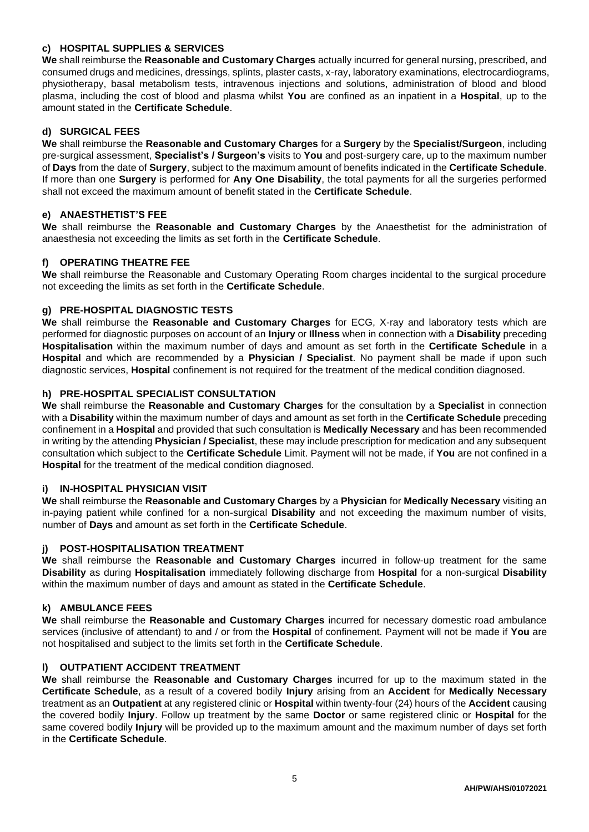# **c) HOSPITAL SUPPLIES & SERVICES**

**We** shall reimburse the **Reasonable and Customary Charges** actually incurred for general nursing, prescribed, and consumed drugs and medicines, dressings, splints, plaster casts, x-ray, laboratory examinations, electrocardiograms, physiotherapy, basal metabolism tests, intravenous injections and solutions, administration of blood and blood plasma, including the cost of blood and plasma whilst **You** are confined as an inpatient in a **Hospital**, up to the amount stated in the **Certificate Schedule**.

## **d) SURGICAL FEES**

**We** shall reimburse the **Reasonable and Customary Charges** for a **Surgery** by the **Specialist/Surgeon**, including pre-surgical assessment, **Specialist's / Surgeon's** visits to **You** and post-surgery care, up to the maximum number of **Days** from the date of **Surgery**, subject to the maximum amount of benefits indicated in the **Certificate Schedule**. If more than one **Surgery** is performed for **Any One Disability**, the total payments for all the surgeries performed shall not exceed the maximum amount of benefit stated in the **Certificate Schedule**.

# **e) ANAESTHETIST'S FEE**

**We** shall reimburse the **Reasonable and Customary Charges** by the Anaesthetist for the administration of anaesthesia not exceeding the limits as set forth in the **Certificate Schedule**.

## **f) OPERATING THEATRE FEE**

**We** shall reimburse the Reasonable and Customary Operating Room charges incidental to the surgical procedure not exceeding the limits as set forth in the **Certificate Schedule**.

## **g) PRE-HOSPITAL DIAGNOSTIC TESTS**

**We** shall reimburse the **Reasonable and Customary Charges** for ECG, X-ray and laboratory tests which are performed for diagnostic purposes on account of an **Injury** or **Illness** when in connection with a **Disability** preceding **Hospitalisation** within the maximum number of days and amount as set forth in the **Certificate Schedule** in a **Hospital** and which are recommended by a **Physician / Specialist**. No payment shall be made if upon such diagnostic services, **Hospital** confinement is not required for the treatment of the medical condition diagnosed.

## **h) PRE-HOSPITAL SPECIALIST CONSULTATION**

**We** shall reimburse the **Reasonable and Customary Charges** for the consultation by a **Specialist** in connection with a **Disability** within the maximum number of days and amount as set forth in the **Certificate Schedule** preceding confinement in a **Hospital** and provided that such consultation is **Medically Necessary** and has been recommended in writing by the attending **Physician / Specialist**, these may include prescription for medication and any subsequent consultation which subject to the **Certificate Schedule** Limit. Payment will not be made, if **You** are not confined in a **Hospital** for the treatment of the medical condition diagnosed.

#### **i) IN-HOSPITAL PHYSICIAN VISIT**

**We** shall reimburse the **Reasonable and Customary Charges** by a **Physician** for **Medically Necessary** visiting an in-paying patient while confined for a non-surgical **Disability** and not exceeding the maximum number of visits, number of **Days** and amount as set forth in the **Certificate Schedule**.

#### **j) POST-HOSPITALISATION TREATMENT**

**We** shall reimburse the **Reasonable and Customary Charges** incurred in follow-up treatment for the same **Disability** as during **Hospitalisation** immediately following discharge from **Hospital** for a non-surgical **Disability** within the maximum number of days and amount as stated in the **Certificate Schedule**.

#### **k) AMBULANCE FEES**

**We** shall reimburse the **Reasonable and Customary Charges** incurred for necessary domestic road ambulance services (inclusive of attendant) to and / or from the **Hospital** of confinement. Payment will not be made if **You** are not hospitalised and subject to the limits set forth in the **Certificate Schedule**.

#### **l) OUTPATIENT ACCIDENT TREATMENT**

**We** shall reimburse the **Reasonable and Customary Charges** incurred for up to the maximum stated in the **Certificate Schedule**, as a result of a covered bodily **Injury** arising from an **Accident** for **Medically Necessary** treatment as an **Outpatient** at any registered clinic or **Hospital** within twenty-four (24) hours of the **Accident** causing the covered bodily **Injury**. Follow up treatment by the same **Doctor** or same registered clinic or **Hospital** for the same covered bodily **Injury** will be provided up to the maximum amount and the maximum number of days set forth in the **Certificate Schedule**.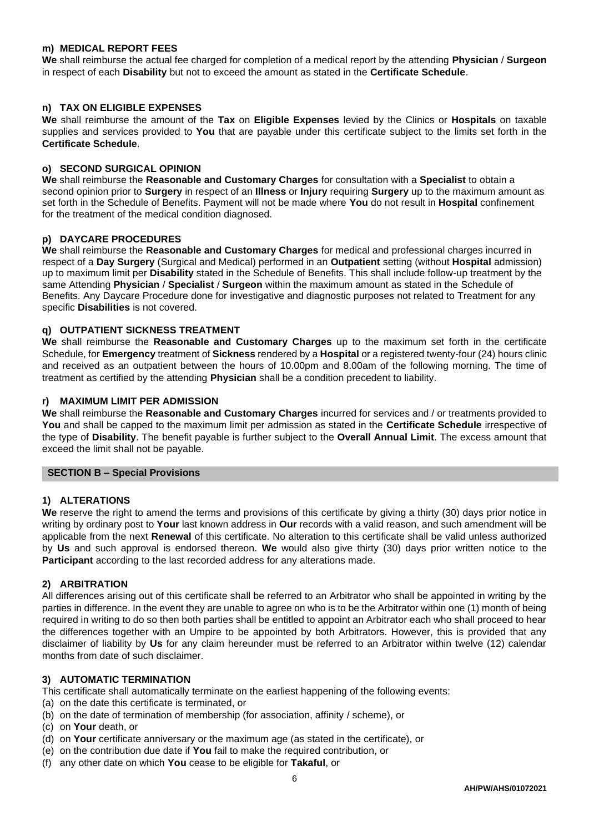## **m) MEDICAL REPORT FEES**

**We** shall reimburse the actual fee charged for completion of a medical report by the attending **Physician** / **Surgeon** in respect of each **Disability** but not to exceed the amount as stated in the **Certificate Schedule**.

## **n) TAX ON ELIGIBLE EXPENSES**

**We** shall reimburse the amount of the **Tax** on **Eligible Expenses** levied by the Clinics or **Hospitals** on taxable supplies and services provided to **You** that are payable under this certificate subject to the limits set forth in the **Certificate Schedule**.

## **o) SECOND SURGICAL OPINION**

**We** shall reimburse the **Reasonable and Customary Charges** for consultation with a **Specialist** to obtain a second opinion prior to **Surgery** in respect of an **Illness** or **Injury** requiring **Surgery** up to the maximum amount as set forth in the Schedule of Benefits. Payment will not be made where **You** do not result in **Hospital** confinement for the treatment of the medical condition diagnosed.

## **p) DAYCARE PROCEDURES**

**We** shall reimburse the **Reasonable and Customary Charges** for medical and professional charges incurred in respect of a **Day Surgery** (Surgical and Medical) performed in an **Outpatient** setting (without **Hospital** admission) up to maximum limit per **Disability** stated in the Schedule of Benefits. This shall include follow-up treatment by the same Attending **Physician** / **Specialist** / **Surgeon** within the maximum amount as stated in the Schedule of Benefits. Any Daycare Procedure done for investigative and diagnostic purposes not related to Treatment for any specific **Disabilities** is not covered.

## **q) OUTPATIENT SICKNESS TREATMENT**

**We** shall reimburse the **Reasonable and Customary Charges** up to the maximum set forth in the certificate Schedule, for **Emergency** treatment of **Sickness** rendered by a **Hospital** or a registered twenty-four (24) hours clinic and received as an outpatient between the hours of 10.00pm and 8.00am of the following morning. The time of treatment as certified by the attending **Physician** shall be a condition precedent to liability.

## **r) MAXIMUM LIMIT PER ADMISSION**

**We** shall reimburse the **Reasonable and Customary Charges** incurred for services and / or treatments provided to **You** and shall be capped to the maximum limit per admission as stated in the **Certificate Schedule** irrespective of the type of **Disability**. The benefit payable is further subject to the **Overall Annual Limit**. The excess amount that exceed the limit shall not be payable.

#### **SECTION B – Special Provisions**

#### **1) ALTERATIONS**

**We** reserve the right to amend the terms and provisions of this certificate by giving a thirty (30) days prior notice in writing by ordinary post to **Your** last known address in **Our** records with a valid reason, and such amendment will be applicable from the next **Renewal** of this certificate. No alteration to this certificate shall be valid unless authorized by **Us** and such approval is endorsed thereon. **We** would also give thirty (30) days prior written notice to the **Participant** according to the last recorded address for any alterations made.

#### **2) ARBITRATION**

All differences arising out of this certificate shall be referred to an Arbitrator who shall be appointed in writing by the parties in difference. In the event they are unable to agree on who is to be the Arbitrator within one (1) month of being required in writing to do so then both parties shall be entitled to appoint an Arbitrator each who shall proceed to hear the differences together with an Umpire to be appointed by both Arbitrators. However, this is provided that any disclaimer of liability by **Us** for any claim hereunder must be referred to an Arbitrator within twelve (12) calendar months from date of such disclaimer.

#### **3) AUTOMATIC TERMINATION**

This certificate shall automatically terminate on the earliest happening of the following events:

- (a) on the date this certificate is terminated, or
- (b) on the date of termination of membership (for association, affinity / scheme), or
- (c) on **Your** death, or
- (d) on **Your** certificate anniversary or the maximum age (as stated in the certificate), or
- (e) on the contribution due date if **You** fail to make the required contribution, or
- (f) any other date on which **You** cease to be eligible for **Takaful**, or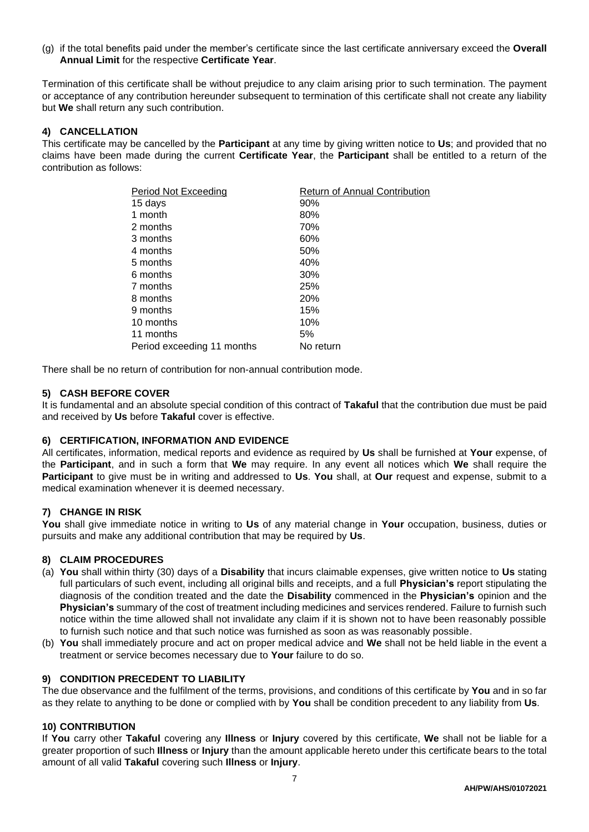(g) if the total benefits paid under the member's certificate since the last certificate anniversary exceed the **Overall Annual Limit** for the respective **Certificate Year**.

Termination of this certificate shall be without prejudice to any claim arising prior to such termination. The payment or acceptance of any contribution hereunder subsequent to termination of this certificate shall not create any liability but **We** shall return any such contribution.

## **4) CANCELLATION**

This certificate may be cancelled by the **Participant** at any time by giving written notice to **Us**; and provided that no claims have been made during the current **Certificate Year**, the **Participant** shall be entitled to a return of the contribution as follows:

| Period Not Exceeding       | <b>Return of Annual Contribution</b> |
|----------------------------|--------------------------------------|
| 15 days                    | 90%                                  |
| 1 month                    | 80%                                  |
| 2 months                   | 70%                                  |
| 3 months                   | 60%                                  |
| 4 months                   | 50%                                  |
| 5 months                   | 40%                                  |
| 6 months                   | 30%                                  |
| 7 months                   | 25%                                  |
| 8 months                   | <b>20%</b>                           |
| 9 months                   | 15%                                  |
| 10 months                  | 10%                                  |
| 11 months                  | 5%                                   |
| Period exceeding 11 months | No return                            |

There shall be no return of contribution for non-annual contribution mode.

## **5) CASH BEFORE COVER**

It is fundamental and an absolute special condition of this contract of **Takaful** that the contribution due must be paid and received by **Us** before **Takaful** cover is effective.

## **6) CERTIFICATION, INFORMATION AND EVIDENCE**

All certificates, information, medical reports and evidence as required by **Us** shall be furnished at **Your** expense, of the **Participant**, and in such a form that **We** may require. In any event all notices which **We** shall require the **Participant** to give must be in writing and addressed to **Us**. **You** shall, at **Our** request and expense, submit to a medical examination whenever it is deemed necessary.

## **7) CHANGE IN RISK**

**You** shall give immediate notice in writing to **Us** of any material change in **Your** occupation, business, duties or pursuits and make any additional contribution that may be required by **Us**.

#### **8) CLAIM PROCEDURES**

- (a) **You** shall within thirty (30) days of a **Disability** that incurs claimable expenses, give written notice to **Us** stating full particulars of such event, including all original bills and receipts, and a full **Physician's** report stipulating the diagnosis of the condition treated and the date the **Disability** commenced in the **Physician's** opinion and the **Physician's** summary of the cost of treatment including medicines and services rendered. Failure to furnish such notice within the time allowed shall not invalidate any claim if it is shown not to have been reasonably possible to furnish such notice and that such notice was furnished as soon as was reasonably possible.
- (b) **You** shall immediately procure and act on proper medical advice and **We** shall not be held liable in the event a treatment or service becomes necessary due to **Your** failure to do so.

#### **9) CONDITION PRECEDENT TO LIABILITY**

The due observance and the fulfilment of the terms, provisions, and conditions of this certificate by **You** and in so far as they relate to anything to be done or complied with by **You** shall be condition precedent to any liability from **Us**.

#### **10) CONTRIBUTION**

If **You** carry other **Takaful** covering any **Illness** or **Injury** covered by this certificate, **We** shall not be liable for a greater proportion of such **Illness** or **Injury** than the amount applicable hereto under this certificate bears to the total amount of all valid **Takaful** covering such **Illness** or **Injury**.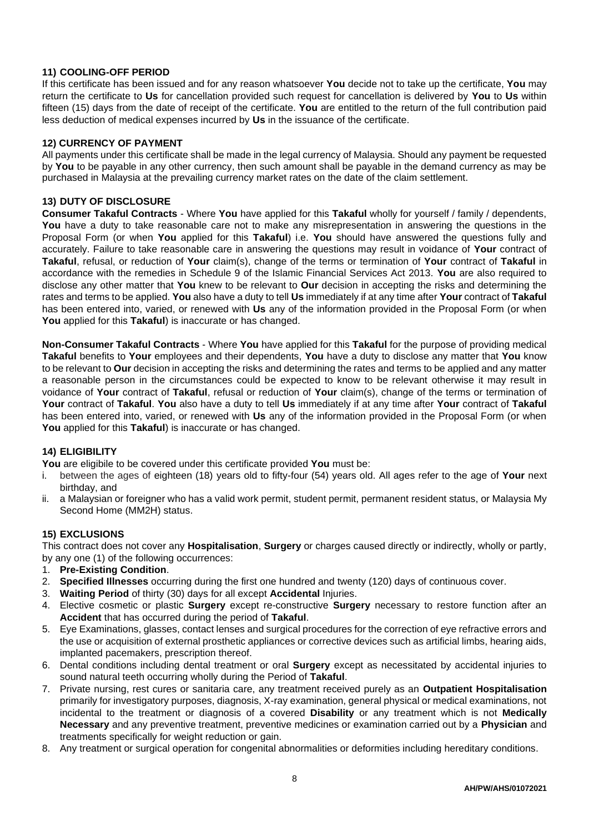# **11) COOLING-OFF PERIOD**

If this certificate has been issued and for any reason whatsoever **You** decide not to take up the certificate, **You** may return the certificate to **Us** for cancellation provided such request for cancellation is delivered by **You** to **Us** within fifteen (15) days from the date of receipt of the certificate. **You** are entitled to the return of the full contribution paid less deduction of medical expenses incurred by **Us** in the issuance of the certificate.

## **12) CURRENCY OF PAYMENT**

All payments under this certificate shall be made in the legal currency of Malaysia. Should any payment be requested by **You** to be payable in any other currency, then such amount shall be payable in the demand currency as may be purchased in Malaysia at the prevailing currency market rates on the date of the claim settlement.

## **13) DUTY OF DISCLOSURE**

**Consumer Takaful Contracts** - Where **You** have applied for this **Takaful** wholly for yourself / family / dependents, **You** have a duty to take reasonable care not to make any misrepresentation in answering the questions in the Proposal Form (or when **You** applied for this **Takaful**) i.e. **You** should have answered the questions fully and accurately. Failure to take reasonable care in answering the questions may result in voidance of **Your** contract of **Takaful**, refusal, or reduction of **Your** claim(s), change of the terms or termination of **Your** contract of **Takaful** in accordance with the remedies in Schedule 9 of the Islamic Financial Services Act 2013. **You** are also required to disclose any other matter that **You** knew to be relevant to **Our** decision in accepting the risks and determining the rates and terms to be applied. **You** also have a duty to tell **Us** immediately if at any time after **Your** contract of **Takaful** has been entered into, varied, or renewed with **Us** any of the information provided in the Proposal Form (or when **You** applied for this **Takaful**) is inaccurate or has changed.

**Non-Consumer Takaful Contracts** - Where **You** have applied for this **Takaful** for the purpose of providing medical **Takaful** benefits to **Your** employees and their dependents, **You** have a duty to disclose any matter that **You** know to be relevant to **Our** decision in accepting the risks and determining the rates and terms to be applied and any matter a reasonable person in the circumstances could be expected to know to be relevant otherwise it may result in voidance of **Your** contract of **Takaful**, refusal or reduction of **Your** claim(s), change of the terms or termination of **Your** contract of **Takaful**. **You** also have a duty to tell **Us** immediately if at any time after **Your** contract of **Takaful** has been entered into, varied, or renewed with **Us** any of the information provided in the Proposal Form (or when **You** applied for this **Takaful**) is inaccurate or has changed.

## **14) ELIGIBILITY**

**You** are eligibile to be covered under this certificate provided **You** must be:

- i. between the ages of eighteen (18) years old to fifty-four (54) years old. All ages refer to the age of **Your** next birthday, and
- ii. a Malaysian or foreigner who has a valid work permit, student permit, permanent resident status, or Malaysia My Second Home (MM2H) status.

## **15) EXCLUSIONS**

This contract does not cover any **Hospitalisation**, **Surgery** or charges caused directly or indirectly, wholly or partly, by any one (1) of the following occurrences:

- 1. **Pre-Existing Condition**.
- 2. **Specified Illnesses** occurring during the first one hundred and twenty (120) days of continuous cover.
- 3. **Waiting Period** of thirty (30) days for all except **Accidental** Injuries.
- 4. Elective cosmetic or plastic **Surgery** except re-constructive **Surgery** necessary to restore function after an **Accident** that has occurred during the period of **Takaful**.
- 5. Eye Examinations, glasses, contact lenses and surgical procedures for the correction of eye refractive errors and the use or acquisition of external prosthetic appliances or corrective devices such as artificial limbs, hearing aids, implanted pacemakers, prescription thereof.
- 6. Dental conditions including dental treatment or oral **Surgery** except as necessitated by accidental injuries to sound natural teeth occurring wholly during the Period of **Takaful**.
- 7. Private nursing, rest cures or sanitaria care, any treatment received purely as an **Outpatient Hospitalisation** primarily for investigatory purposes, diagnosis, X-ray examination, general physical or medical examinations, not incidental to the treatment or diagnosis of a covered **Disability** or any treatment which is not **Medically Necessary** and any preventive treatment, preventive medicines or examination carried out by a **Physician** and treatments specifically for weight reduction or gain.
- 8. Any treatment or surgical operation for congenital abnormalities or deformities including hereditary conditions.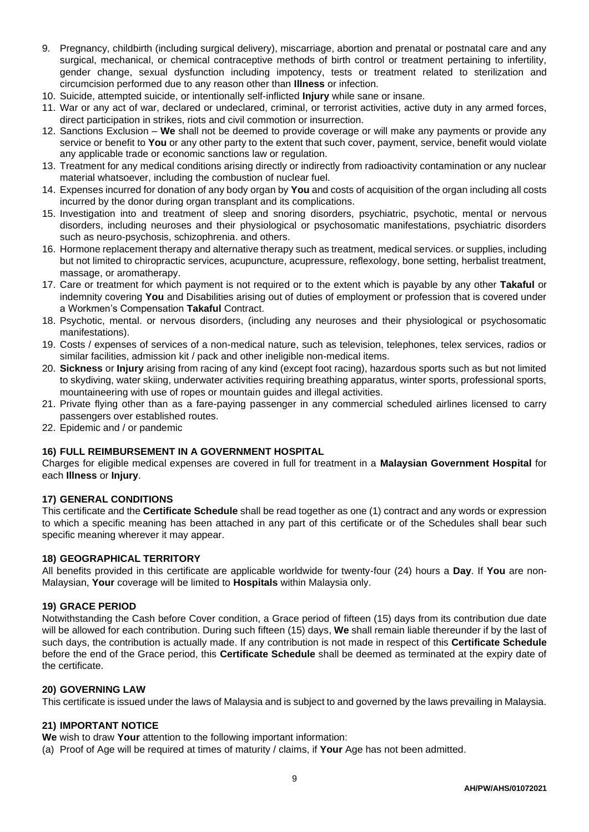- 9. Pregnancy, childbirth (including surgical delivery), miscarriage, abortion and prenatal or postnatal care and any surgical, mechanical, or chemical contraceptive methods of birth control or treatment pertaining to infertility, gender change, sexual dysfunction including impotency, tests or treatment related to sterilization and circumcision performed due to any reason other than **Illness** or infection.
- 10. Suicide, attempted suicide, or intentionally self-inflicted **Injury** while sane or insane.
- 11. War or any act of war, declared or undeclared, criminal, or terrorist activities, active duty in any armed forces, direct participation in strikes, riots and civil commotion or insurrection.
- 12. Sanctions Exclusion **We** shall not be deemed to provide coverage or will make any payments or provide any service or benefit to **You** or any other party to the extent that such cover, payment, service, benefit would violate any applicable trade or economic sanctions law or regulation.
- 13. Treatment for any medical conditions arising directly or indirectly from radioactivity contamination or any nuclear material whatsoever, including the combustion of nuclear fuel.
- 14. Expenses incurred for donation of any body organ by **You** and costs of acquisition of the organ including all costs incurred by the donor during organ transplant and its complications.
- 15. Investigation into and treatment of sleep and snoring disorders, psychiatric, psychotic, mental or nervous disorders, including neuroses and their physiological or psychosomatic manifestations, psychiatric disorders such as neuro-psychosis, schizophrenia. and others.
- 16. Hormone replacement therapy and alternative therapy such as treatment, medical services. or supplies, including but not limited to chiropractic services, acupuncture, acupressure, reflexology, bone setting, herbalist treatment, massage, or aromatherapy.
- 17. Care or treatment for which payment is not required or to the extent which is payable by any other **Takaful** or indemnity covering **You** and Disabilities arising out of duties of employment or profession that is covered under a Workmen's Compensation **Takaful** Contract.
- 18. Psychotic, mental. or nervous disorders, (including any neuroses and their physiological or psychosomatic manifestations).
- 19. Costs / expenses of services of a non-medical nature, such as television, telephones, telex services, radios or similar facilities, admission kit / pack and other ineligible non-medical items.
- 20. **Sickness** or **Injury** arising from racing of any kind (except foot racing), hazardous sports such as but not limited to skydiving, water skiing, underwater activities requiring breathing apparatus, winter sports, professional sports, mountaineering with use of ropes or mountain guides and illegal activities.
- 21. Private flying other than as a fare-paying passenger in any commercial scheduled airlines licensed to carry passengers over established routes.
- 22. Epidemic and / or pandemic

## **16) FULL REIMBURSEMENT IN A GOVERNMENT HOSPITAL**

Charges for eligible medical expenses are covered in full for treatment in a **Malaysian Government Hospital** for each **Illness** or **Injury**.

#### **17) GENERAL CONDITIONS**

This certificate and the **Certificate Schedule** shall be read together as one (1) contract and any words or expression to which a specific meaning has been attached in any part of this certificate or of the Schedules shall bear such specific meaning wherever it may appear.

#### **18) GEOGRAPHICAL TERRITORY**

All benefits provided in this certificate are applicable worldwide for twenty-four (24) hours a **Day**. If **You** are non-Malaysian, **Your** coverage will be limited to **Hospitals** within Malaysia only.

#### **19) GRACE PERIOD**

Notwithstanding the Cash before Cover condition, a Grace period of fifteen (15) days from its contribution due date will be allowed for each contribution. During such fifteen (15) days, **We** shall remain liable thereunder if by the last of such days, the contribution is actually made. If any contribution is not made in respect of this **Certificate Schedule** before the end of the Grace period, this **Certificate Schedule** shall be deemed as terminated at the expiry date of the certificate.

#### **20) GOVERNING LAW**

This certificate is issued under the laws of Malaysia and is subject to and governed by the laws prevailing in Malaysia.

## **21) IMPORTANT NOTICE**

- **We** wish to draw **Your** attention to the following important information:
- (a) Proof of Age will be required at times of maturity / claims, if **Your** Age has not been admitted.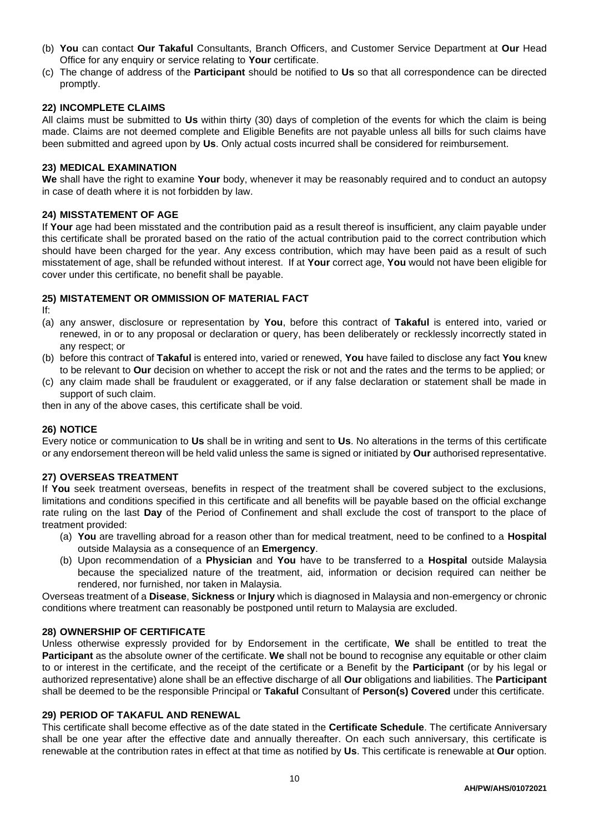- (b) **You** can contact **Our Takaful** Consultants, Branch Officers, and Customer Service Department at **Our** Head Office for any enquiry or service relating to **Your** certificate.
- (c) The change of address of the **Participant** should be notified to **Us** so that all correspondence can be directed promptly.

## **22) INCOMPLETE CLAIMS**

All claims must be submitted to **Us** within thirty (30) days of completion of the events for which the claim is being made. Claims are not deemed complete and Eligible Benefits are not payable unless all bills for such claims have been submitted and agreed upon by **Us**. Only actual costs incurred shall be considered for reimbursement.

#### **23) MEDICAL EXAMINATION**

**We** shall have the right to examine **Your** body, whenever it may be reasonably required and to conduct an autopsy in case of death where it is not forbidden by law.

## **24) MISSTATEMENT OF AGE**

If **Your** age had been misstated and the contribution paid as a result thereof is insufficient, any claim payable under this certificate shall be prorated based on the ratio of the actual contribution paid to the correct contribution which should have been charged for the year. Any excess contribution, which may have been paid as a result of such misstatement of age, shall be refunded without interest. If at **Your** correct age, **You** would not have been eligible for cover under this certificate, no benefit shall be payable.

## **25) MISTATEMENT OR OMMISSION OF MATERIAL FACT**

If:

- (a) any answer, disclosure or representation by **You**, before this contract of **Takaful** is entered into, varied or renewed, in or to any proposal or declaration or query, has been deliberately or recklessly incorrectly stated in any respect; or
- (b) before this contract of **Takaful** is entered into, varied or renewed, **You** have failed to disclose any fact **You** knew to be relevant to **Our** decision on whether to accept the risk or not and the rates and the terms to be applied; or
- (c) any claim made shall be fraudulent or exaggerated, or if any false declaration or statement shall be made in support of such claim.

then in any of the above cases, this certificate shall be void.

#### **26) NOTICE**

Every notice or communication to **Us** shall be in writing and sent to **Us**. No alterations in the terms of this certificate or any endorsement thereon will be held valid unless the same is signed or initiated by **Our** authorised representative.

#### **27) OVERSEAS TREATMENT**

If **You** seek treatment overseas, benefits in respect of the treatment shall be covered subject to the exclusions, limitations and conditions specified in this certificate and all benefits will be payable based on the official exchange rate ruling on the last **Day** of the Period of Confinement and shall exclude the cost of transport to the place of treatment provided:

- (a) **You** are travelling abroad for a reason other than for medical treatment, need to be confined to a **Hospital** outside Malaysia as a consequence of an **Emergency**.
- (b) Upon recommendation of a **Physician** and **You** have to be transferred to a **Hospital** outside Malaysia because the specialized nature of the treatment, aid, information or decision required can neither be rendered, nor furnished, nor taken in Malaysia.

Overseas treatment of a **Disease**, **Sickness** or **Injury** which is diagnosed in Malaysia and non-emergency or chronic conditions where treatment can reasonably be postponed until return to Malaysia are excluded.

## **28) OWNERSHIP OF CERTIFICATE**

Unless otherwise expressly provided for by Endorsement in the certificate, **We** shall be entitled to treat the **Participant** as the absolute owner of the certificate. **We** shall not be bound to recognise any equitable or other claim to or interest in the certificate, and the receipt of the certificate or a Benefit by the **Participant** (or by his legal or authorized representative) alone shall be an effective discharge of all **Our** obligations and liabilities. The **Participant** shall be deemed to be the responsible Principal or **Takaful** Consultant of **Person(s) Covered** under this certificate.

#### **29) PERIOD OF TAKAFUL AND RENEWAL**

This certificate shall become effective as of the date stated in the **Certificate Schedule**. The certificate Anniversary shall be one year after the effective date and annually thereafter. On each such anniversary, this certificate is renewable at the contribution rates in effect at that time as notified by **Us**. This certificate is renewable at **Our** option.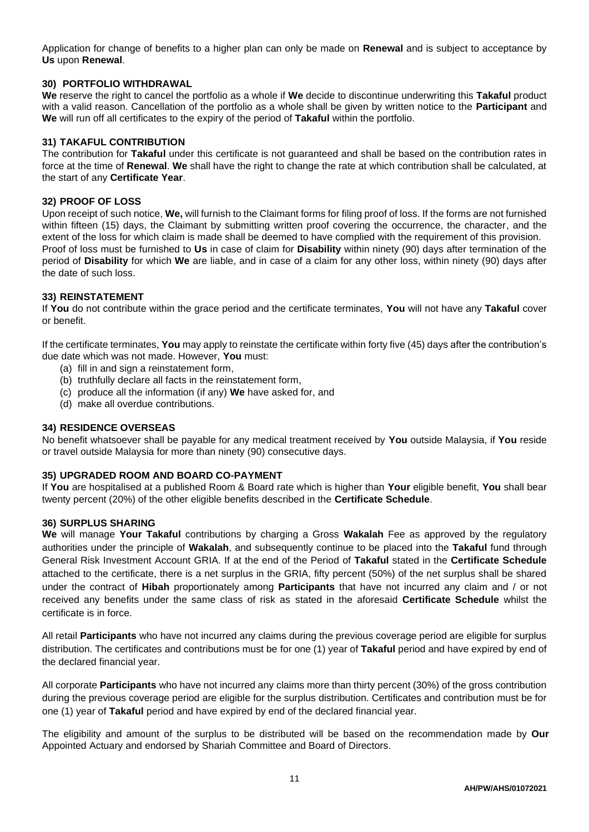Application for change of benefits to a higher plan can only be made on **Renewal** and is subject to acceptance by **Us** upon **Renewal**.

## **30) PORTFOLIO WITHDRAWAL**

**We** reserve the right to cancel the portfolio as a whole if **We** decide to discontinue underwriting this **Takaful** product with a valid reason. Cancellation of the portfolio as a whole shall be given by written notice to the **Participant** and **We** will run off all certificates to the expiry of the period of **Takaful** within the portfolio.

#### **31) TAKAFUL CONTRIBUTION**

The contribution for **Takaful** under this certificate is not guaranteed and shall be based on the contribution rates in force at the time of **Renewal**. **We** shall have the right to change the rate at which contribution shall be calculated, at the start of any **Certificate Year**.

# **32) PROOF OF LOSS**

Upon receipt of such notice, **We,** will furnish to the Claimant forms for filing proof of loss. If the forms are not furnished within fifteen (15) days, the Claimant by submitting written proof covering the occurrence, the character, and the extent of the loss for which claim is made shall be deemed to have complied with the requirement of this provision. Proof of loss must be furnished to **Us** in case of claim for **Disability** within ninety (90) days after termination of the period of **Disability** for which **We** are liable, and in case of a claim for any other loss, within ninety (90) days after the date of such loss.

## **33) REINSTATEMENT**

If **You** do not contribute within the grace period and the certificate terminates, **You** will not have any **Takaful** cover or benefit.

If the certificate terminates, **You** may apply to reinstate the certificate within forty five (45) days after the contribution's due date which was not made. However, **You** must:

- (a) fill in and sign a reinstatement form,
- (b) truthfully declare all facts in the reinstatement form,
- (c) produce all the information (if any) **We** have asked for, and
- (d) make all overdue contributions.

## **34) RESIDENCE OVERSEAS**

No benefit whatsoever shall be payable for any medical treatment received by **You** outside Malaysia, if **You** reside or travel outside Malaysia for more than ninety (90) consecutive days.

## **35) UPGRADED ROOM AND BOARD CO-PAYMENT**

If **You** are hospitalised at a published Room & Board rate which is higher than **Your** eligible benefit, **You** shall bear twenty percent (20%) of the other eligible benefits described in the **Certificate Schedule**.

#### **36) SURPLUS SHARING**

**We** will manage **Your Takaful** contributions by charging a Gross **Wakalah** Fee as approved by the regulatory authorities under the principle of **Wakalah**, and subsequently continue to be placed into the **Takaful** fund through General Risk Investment Account GRIA. If at the end of the Period of **Takaful** stated in the **Certificate Schedule** attached to the certificate, there is a net surplus in the GRIA, fifty percent (50%) of the net surplus shall be shared under the contract of **Hibah** proportionately among **Participants** that have not incurred any claim and / or not received any benefits under the same class of risk as stated in the aforesaid **Certificate Schedule** whilst the certificate is in force.

All retail **Participants** who have not incurred any claims during the previous coverage period are eligible for surplus distribution. The certificates and contributions must be for one (1) year of **Takaful** period and have expired by end of the declared financial year.

All corporate **Participants** who have not incurred any claims more than thirty percent (30%) of the gross contribution during the previous coverage period are eligible for the surplus distribution. Certificates and contribution must be for one (1) year of **Takaful** period and have expired by end of the declared financial year.

The eligibility and amount of the surplus to be distributed will be based on the recommendation made by **Our** Appointed Actuary and endorsed by Shariah Committee and Board of Directors.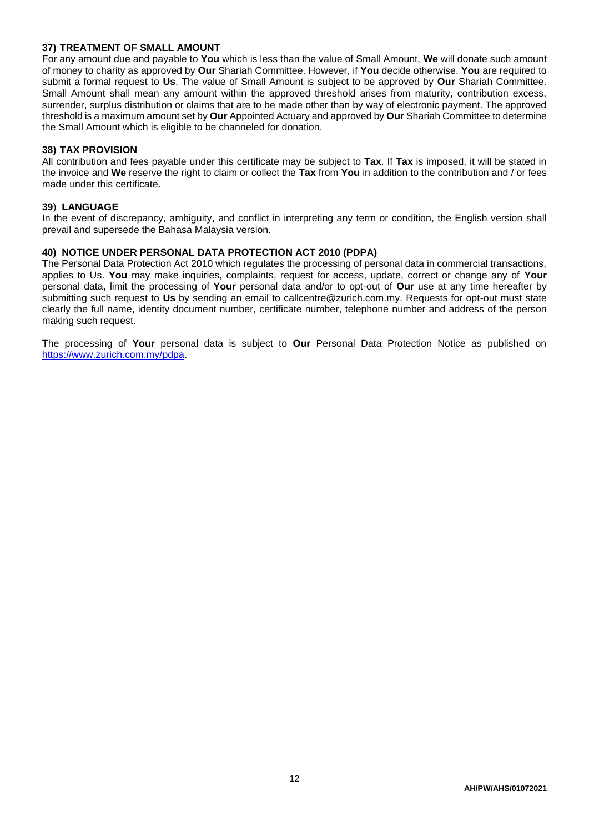## **37) TREATMENT OF SMALL AMOUNT**

For any amount due and payable to **You** which is less than the value of Small Amount, **We** will donate such amount of money to charity as approved by **Our** Shariah Committee. However, if **You** decide otherwise, **You** are required to submit a formal request to **Us**. The value of Small Amount is subject to be approved by **Our** Shariah Committee. Small Amount shall mean any amount within the approved threshold arises from maturity, contribution excess, surrender, surplus distribution or claims that are to be made other than by way of electronic payment. The approved threshold is a maximum amount set by **Our** Appointed Actuary and approved by **Our** Shariah Committee to determine the Small Amount which is eligible to be channeled for donation.

#### **38) TAX PROVISION**

All contribution and fees payable under this certificate may be subject to **Tax**. If **Tax** is imposed, it will be stated in the invoice and **We** reserve the right to claim or collect the **Tax** from **You** in addition to the contribution and / or fees made under this certificate.

#### **39**) **LANGUAGE**

In the event of discrepancy, ambiguity, and conflict in interpreting any term or condition, the English version shall prevail and supersede the Bahasa Malaysia version.

## **40) NOTICE UNDER PERSONAL DATA PROTECTION ACT 2010 (PDPA)**

The Personal Data Protection Act 2010 which regulates the processing of personal data in commercial transactions, applies to Us. **You** may make inquiries, complaints, request for access, update, correct or change any of **Your**  personal data, limit the processing of **Your** personal data and/or to opt-out of **Our** use at any time hereafter by submitting such request to **Us** by sending an email to callcentre@zurich.com.my. Requests for opt-out must state clearly the full name, identity document number, certificate number, telephone number and address of the person making such request.

The processing of **Your** personal data is subject to **Our** Personal Data Protection Notice as published on [https://www.zurich.com.my/pdpa.](https://www.zurich.com.my/pdpa)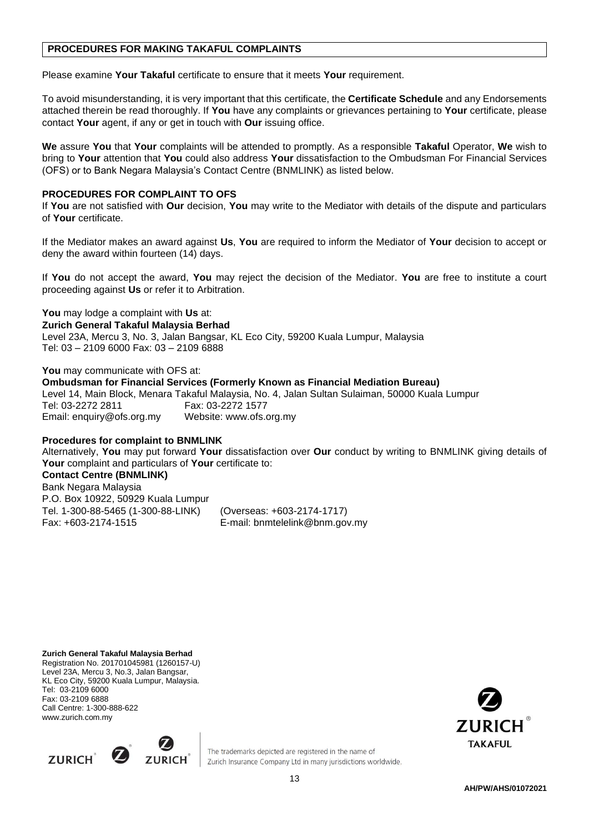# **PROCEDURES FOR MAKING TAKAFUL COMPLAINTS**

Please examine **Your Takaful** certificate to ensure that it meets **Your** requirement.

To avoid misunderstanding, it is very important that this certificate, the **Certificate Schedule** and any Endorsements attached therein be read thoroughly. If **You** have any complaints or grievances pertaining to **Your** certificate, please contact **Your** agent, if any or get in touch with **Our** issuing office.

**We** assure **You** that **Your** complaints will be attended to promptly. As a responsible **Takaful** Operator, **We** wish to bring to **Your** attention that **You** could also address **Your** dissatisfaction to the Ombudsman For Financial Services (OFS) or to Bank Negara Malaysia's Contact Centre (BNMLINK) as listed below.

## **PROCEDURES FOR COMPLAINT TO OFS**

If **You** are not satisfied with **Our** decision, **You** may write to the Mediator with details of the dispute and particulars of **Your** certificate.

If the Mediator makes an award against **Us**, **You** are required to inform the Mediator of **Your** decision to accept or deny the award within fourteen (14) days.

If **You** do not accept the award, **You** may reject the decision of the Mediator. **You** are free to institute a court proceeding against **Us** or refer it to Arbitration.

#### **You** may lodge a complaint with **Us** at:

**Zurich General Takaful Malaysia Berhad** 

Level 23A, Mercu 3, No. 3, Jalan Bangsar, KL Eco City, 59200 Kuala Lumpur, Malaysia Tel: 03 – 2109 6000 Fax: 03 – 2109 6888

**You** may communicate with OFS at:

**Ombudsman for Financial Services (Formerly Known as Financial Mediation Bureau)**  Level 14, Main Block, Menara Takaful Malaysia, No. 4, Jalan Sultan Sulaiman, 50000 Kuala Lumpur Tel: 03-2272 2811 Fax: 03-2272 1577 Email: [enquiry@ofs.org.my](mailto:enquiry@ofs.org.my) Website: [www.ofs.org.my](http://www.ofs.org.my/)

## **Procedures for complaint to BNMLINK**

Alternatively, **You** may put forward **Your** dissatisfaction over **Our** conduct by writing to BNMLINK giving details of **Your** complaint and particulars of **Your** certificate to:

## **Contact Centre (BNMLINK)**

Bank Negara Malaysia P.O. Box 10922, 50929 Kuala Lumpur Tel. 1-300-88-5465 (1-300-88-LINK) (Overseas: +603-2174-1717) Fax: +603-2174-1515 E-mail: [bnmtelelink@bnm.gov.my](mailto:bnmtelelink@bnm.gov.my)

**Zurich General Takaful Malaysia Berhad** Registration No. 201701045981 (1260157-U) Level 23A, Mercu 3, No.3, Jalan Bangsar, KL Eco City, 59200 Kuala Lumpur, Malaysia. Tel: 03-2109 6000 Fax: 03-2109 6888 Call Centre: 1-300-888-622 [www.zurich.com.my](http://www.zurich.com.my/)





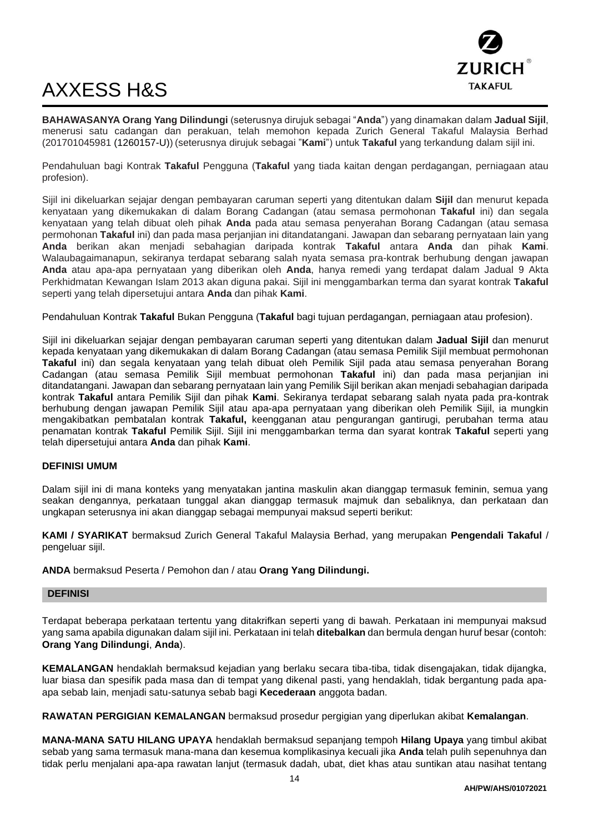

# AXXESS H&S

**BAHAWASANYA Orang Yang Dilindungi** (seterusnya dirujuk sebagai "**Anda**") yang dinamakan dalam **Jadual Sijil**, menerusi satu cadangan dan perakuan, telah memohon kepada Zurich General Takaful Malaysia Berhad (201701045981 (1260157-U)) (seterusnya dirujuk sebagai "**Kami**") untuk **Takaful** yang terkandung dalam sijil ini.

Pendahuluan bagi Kontrak **Takaful** Pengguna (**Takaful** yang tiada kaitan dengan perdagangan, perniagaan atau profesion).

Sijil ini dikeluarkan sejajar dengan pembayaran caruman seperti yang ditentukan dalam **Sijil** dan menurut kepada kenyataan yang dikemukakan di dalam Borang Cadangan (atau semasa permohonan **Takaful** ini) dan segala kenyataan yang telah dibuat oleh pihak **Anda** pada atau semasa penyerahan Borang Cadangan (atau semasa permohonan **Takaful** ini) dan pada masa perjanjian ini ditandatangani. Jawapan dan sebarang pernyataan lain yang **Anda** berikan akan menjadi sebahagian daripada kontrak **Takaful** antara **Anda** dan pihak **Kami**. Walaubagaimanapun, sekiranya terdapat sebarang salah nyata semasa pra-kontrak berhubung dengan jawapan **Anda** atau apa-apa pernyataan yang diberikan oleh **Anda**, hanya remedi yang terdapat dalam Jadual 9 Akta Perkhidmatan Kewangan Islam 2013 akan diguna pakai. Sijil ini menggambarkan terma dan syarat kontrak **Takaful** seperti yang telah dipersetujui antara **Anda** dan pihak **Kami**.

Pendahuluan Kontrak **Takaful** Bukan Pengguna (**Takaful** bagi tujuan perdagangan, perniagaan atau profesion).

Sijil ini dikeluarkan sejajar dengan pembayaran caruman seperti yang ditentukan dalam **Jadual Sijil** dan menurut kepada kenyataan yang dikemukakan di dalam Borang Cadangan (atau semasa Pemilik Sijil membuat permohonan **Takaful** ini) dan segala kenyataan yang telah dibuat oleh Pemilik Sijil pada atau semasa penyerahan Borang Cadangan (atau semasa Pemilik Sijil membuat permohonan **Takaful** ini) dan pada masa perjanjian ini ditandatangani. Jawapan dan sebarang pernyataan lain yang Pemilik Sijil berikan akan menjadi sebahagian daripada kontrak **Takaful** antara Pemilik Sijil dan pihak **Kami**. Sekiranya terdapat sebarang salah nyata pada pra-kontrak berhubung dengan jawapan Pemilik Sijil atau apa-apa pernyataan yang diberikan oleh Pemilik Sijil, ia mungkin mengakibatkan pembatalan kontrak **Takaful,** keengganan atau pengurangan gantirugi, perubahan terma atau penamatan kontrak **Takaful** Pemilik Sijil. Sijil ini menggambarkan terma dan syarat kontrak **Takaful** seperti yang telah dipersetujui antara **Anda** dan pihak **Kami**.

## **DEFINISI UMUM**

Dalam sijil ini di mana konteks yang menyatakan jantina maskulin akan dianggap termasuk feminin, semua yang seakan dengannya, perkataan tunggal akan dianggap termasuk majmuk dan sebaliknya, dan perkataan dan ungkapan seterusnya ini akan dianggap sebagai mempunyai maksud seperti berikut:

**KAMI / SYARIKAT** bermaksud Zurich General Takaful Malaysia Berhad, yang merupakan **Pengendali Takaful** / pengeluar sijil.

**ANDA** bermaksud Peserta / Pemohon dan / atau **Orang Yang Dilindungi.**

#### **DEFINISI**

Terdapat beberapa perkataan tertentu yang ditakrifkan seperti yang di bawah. Perkataan ini mempunyai maksud yang sama apabila digunakan dalam sijil ini. Perkataan ini telah **ditebalkan** dan bermula dengan huruf besar (contoh: **Orang Yang Dilindungi**, **Anda**).

**KEMALANGAN** hendaklah bermaksud kejadian yang berlaku secara tiba-tiba, tidak disengajakan, tidak dijangka, luar biasa dan spesifik pada masa dan di tempat yang dikenal pasti, yang hendaklah, tidak bergantung pada apaapa sebab lain, menjadi satu-satunya sebab bagi **Kecederaan** anggota badan.

**RAWATAN PERGIGIAN KEMALANGAN** bermaksud prosedur pergigian yang diperlukan akibat **Kemalangan**.

**MANA-MANA SATU HILANG UPAYA** hendaklah bermaksud sepanjang tempoh **Hilang Upaya** yang timbul akibat sebab yang sama termasuk mana-mana dan kesemua komplikasinya kecuali jika **Anda** telah pulih sepenuhnya dan tidak perlu menjalani apa-apa rawatan lanjut (termasuk dadah, ubat, diet khas atau suntikan atau nasihat tentang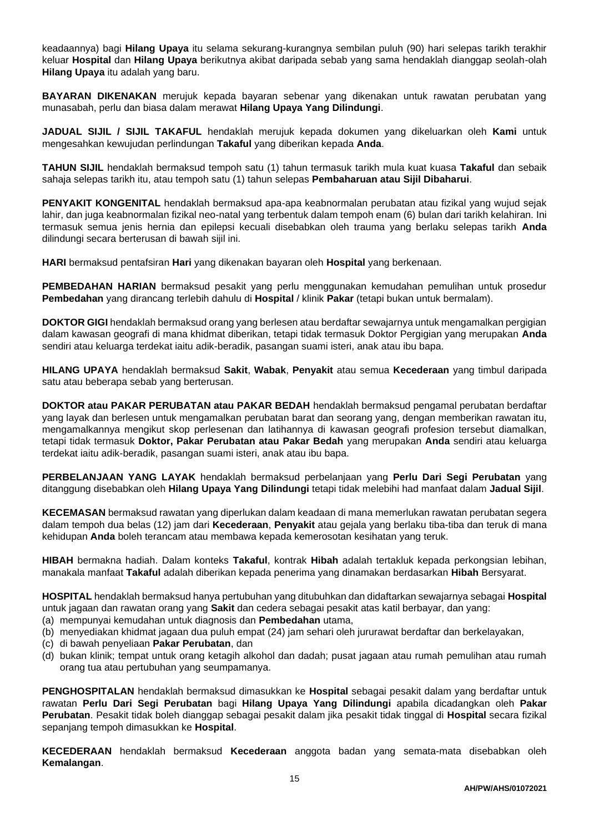keadaannya) bagi **Hilang Upaya** itu selama sekurang-kurangnya sembilan puluh (90) hari selepas tarikh terakhir keluar **Hospital** dan **Hilang Upaya** berikutnya akibat daripada sebab yang sama hendaklah dianggap seolah-olah **Hilang Upaya** itu adalah yang baru.

**BAYARAN DIKENAKAN** merujuk kepada bayaran sebenar yang dikenakan untuk rawatan perubatan yang munasabah, perlu dan biasa dalam merawat **Hilang Upaya Yang Dilindungi**.

**JADUAL SIJIL / SIJIL TAKAFUL** hendaklah merujuk kepada dokumen yang dikeluarkan oleh **Kami** untuk mengesahkan kewujudan perlindungan **Takaful** yang diberikan kepada **Anda**.

**TAHUN SIJIL** hendaklah bermaksud tempoh satu (1) tahun termasuk tarikh mula kuat kuasa **Takaful** dan sebaik sahaja selepas tarikh itu, atau tempoh satu (1) tahun selepas **Pembaharuan atau Sijil Dibaharui**.

**PENYAKIT KONGENITAL** hendaklah bermaksud apa-apa keabnormalan perubatan atau fizikal yang wujud sejak lahir, dan juga keabnormalan fizikal neo-natal yang terbentuk dalam tempoh enam (6) bulan dari tarikh kelahiran. Ini termasuk semua jenis hernia dan epilepsi kecuali disebabkan oleh trauma yang berlaku selepas tarikh **Anda** dilindungi secara berterusan di bawah sijil ini.

**HARI** bermaksud pentafsiran **Hari** yang dikenakan bayaran oleh **Hospital** yang berkenaan.

**PEMBEDAHAN HARIAN** bermaksud pesakit yang perlu menggunakan kemudahan pemulihan untuk prosedur **Pembedahan** yang dirancang terlebih dahulu di **Hospital** / klinik **Pakar** (tetapi bukan untuk bermalam).

**DOKTOR GIGI** hendaklah bermaksud orang yang berlesen atau berdaftar sewajarnya untuk mengamalkan pergigian dalam kawasan geografi di mana khidmat diberikan, tetapi tidak termasuk Doktor Pergigian yang merupakan **Anda** sendiri atau keluarga terdekat iaitu adik-beradik, pasangan suami isteri, anak atau ibu bapa.

**HILANG UPAYA** hendaklah bermaksud **Sakit**, **Wabak**, **Penyakit** atau semua **Kecederaan** yang timbul daripada satu atau beberapa sebab yang berterusan.

**DOKTOR atau PAKAR PERUBATAN atau PAKAR BEDAH** hendaklah bermaksud pengamal perubatan berdaftar yang layak dan berlesen untuk mengamalkan perubatan barat dan seorang yang, dengan memberikan rawatan itu, mengamalkannya mengikut skop perlesenan dan latihannya di kawasan geografi profesion tersebut diamalkan, tetapi tidak termasuk **Doktor, Pakar Perubatan atau Pakar Bedah** yang merupakan **Anda** sendiri atau keluarga terdekat iaitu adik-beradik, pasangan suami isteri, anak atau ibu bapa.

**PERBELANJAAN YANG LAYAK** hendaklah bermaksud perbelanjaan yang **Perlu Dari Segi Perubatan** yang ditanggung disebabkan oleh **Hilang Upaya Yang Dilindungi** tetapi tidak melebihi had manfaat dalam **Jadual Sijil**.

**KECEMASAN** bermaksud rawatan yang diperlukan dalam keadaan di mana memerlukan rawatan perubatan segera dalam tempoh dua belas (12) jam dari **Kecederaan**, **Penyakit** atau gejala yang berlaku tiba-tiba dan teruk di mana kehidupan **Anda** boleh terancam atau membawa kepada kemerosotan kesihatan yang teruk.

**HIBAH** bermakna hadiah. Dalam konteks **Takaful**, kontrak **Hibah** adalah tertakluk kepada perkongsian lebihan, manakala manfaat **Takaful** adalah diberikan kepada penerima yang dinamakan berdasarkan **Hibah** Bersyarat.

**HOSPITAL** hendaklah bermaksud hanya pertubuhan yang ditubuhkan dan didaftarkan sewajarnya sebagai **Hospital** untuk jagaan dan rawatan orang yang **Sakit** dan cedera sebagai pesakit atas katil berbayar, dan yang:

- (a) mempunyai kemudahan untuk diagnosis dan **Pembedahan** utama,
- (b) menyediakan khidmat jagaan dua puluh empat (24) jam sehari oleh jururawat berdaftar dan berkelayakan,
- (c) di bawah penyeliaan **Pakar Perubatan**, dan
- (d) bukan klinik; tempat untuk orang ketagih alkohol dan dadah; pusat jagaan atau rumah pemulihan atau rumah orang tua atau pertubuhan yang seumpamanya.

**PENGHOSPITALAN** hendaklah bermaksud dimasukkan ke **Hospital** sebagai pesakit dalam yang berdaftar untuk rawatan **Perlu Dari Segi Perubatan** bagi **Hilang Upaya Yang Dilindungi** apabila dicadangkan oleh **Pakar Perubatan**. Pesakit tidak boleh dianggap sebagai pesakit dalam jika pesakit tidak tinggal di **Hospital** secara fizikal sepanjang tempoh dimasukkan ke **Hospital**.

**KECEDERAAN** hendaklah bermaksud **Kecederaan** anggota badan yang semata-mata disebabkan oleh **Kemalangan**.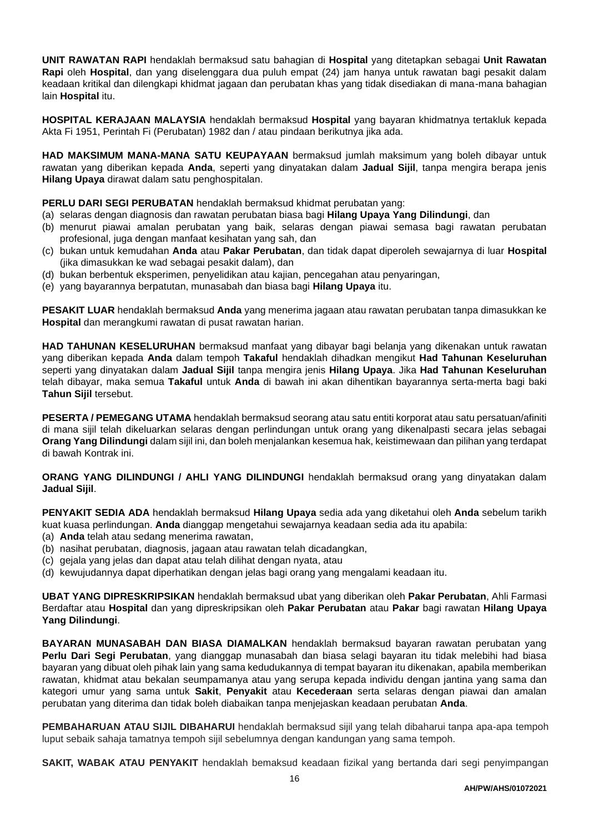**UNIT RAWATAN RAPI** hendaklah bermaksud satu bahagian di **Hospital** yang ditetapkan sebagai **Unit Rawatan Rapi** oleh **Hospital**, dan yang diselenggara dua puluh empat (24) jam hanya untuk rawatan bagi pesakit dalam keadaan kritikal dan dilengkapi khidmat jagaan dan perubatan khas yang tidak disediakan di mana-mana bahagian lain **Hospital** itu.

**HOSPITAL KERAJAAN MALAYSIA** hendaklah bermaksud **Hospital** yang bayaran khidmatnya tertakluk kepada Akta Fi 1951, Perintah Fi (Perubatan) 1982 dan / atau pindaan berikutnya jika ada.

**HAD MAKSIMUM MANA-MANA SATU KEUPAYAAN** bermaksud jumlah maksimum yang boleh dibayar untuk rawatan yang diberikan kepada **Anda**, seperti yang dinyatakan dalam **Jadual Sijil**, tanpa mengira berapa jenis **Hilang Upaya** dirawat dalam satu penghospitalan.

**PERLU DARI SEGI PERUBATAN** hendaklah bermaksud khidmat perubatan yang:

- (a) selaras dengan diagnosis dan rawatan perubatan biasa bagi **Hilang Upaya Yang Dilindungi**, dan
- (b) menurut piawai amalan perubatan yang baik, selaras dengan piawai semasa bagi rawatan perubatan profesional, juga dengan manfaat kesihatan yang sah, dan
- (c) bukan untuk kemudahan **Anda** atau **Pakar Perubatan**, dan tidak dapat diperoleh sewajarnya di luar **Hospital** (jika dimasukkan ke wad sebagai pesakit dalam), dan
- (d) bukan berbentuk eksperimen, penyelidikan atau kajian, pencegahan atau penyaringan,
- (e) yang bayarannya berpatutan, munasabah dan biasa bagi **Hilang Upaya** itu.

**PESAKIT LUAR** hendaklah bermaksud **Anda** yang menerima jagaan atau rawatan perubatan tanpa dimasukkan ke **Hospital** dan merangkumi rawatan di pusat rawatan harian.

**HAD TAHUNAN KESELURUHAN** bermaksud manfaat yang dibayar bagi belanja yang dikenakan untuk rawatan yang diberikan kepada **Anda** dalam tempoh **Takaful** hendaklah dihadkan mengikut **Had Tahunan Keseluruhan** seperti yang dinyatakan dalam **Jadual Sijil** tanpa mengira jenis **Hilang Upaya**. Jika **Had Tahunan Keseluruhan** telah dibayar, maka semua **Takaful** untuk **Anda** di bawah ini akan dihentikan bayarannya serta-merta bagi baki **Tahun Sijil** tersebut.

**PESERTA / PEMEGANG UTAMA** hendaklah bermaksud seorang atau satu entiti korporat atau satu persatuan/afiniti di mana sijil telah dikeluarkan selaras dengan perlindungan untuk orang yang dikenalpasti secara jelas sebagai **Orang Yang Dilindungi** dalam sijil ini, dan boleh menjalankan kesemua hak, keistimewaan dan pilihan yang terdapat di bawah Kontrak ini.

**ORANG YANG DILINDUNGI / AHLI YANG DILINDUNGI** hendaklah bermaksud orang yang dinyatakan dalam **Jadual Sijil**.

**PENYAKIT SEDIA ADA** hendaklah bermaksud **Hilang Upaya** sedia ada yang diketahui oleh **Anda** sebelum tarikh kuat kuasa perlindungan. **Anda** dianggap mengetahui sewajarnya keadaan sedia ada itu apabila:

- (a) **Anda** telah atau sedang menerima rawatan,
- (b) nasihat perubatan, diagnosis, jagaan atau rawatan telah dicadangkan,
- (c) gejala yang jelas dan dapat atau telah dilihat dengan nyata, atau
- (d) kewujudannya dapat diperhatikan dengan jelas bagi orang yang mengalami keadaan itu.

**UBAT YANG DIPRESKRIPSIKAN** hendaklah bermaksud ubat yang diberikan oleh **Pakar Perubatan**, Ahli Farmasi Berdaftar atau **Hospital** dan yang dipreskripsikan oleh **Pakar Perubatan** atau **Pakar** bagi rawatan **Hilang Upaya Yang Dilindungi**.

**BAYARAN MUNASABAH DAN BIASA DIAMALKAN** hendaklah bermaksud bayaran rawatan perubatan yang **Perlu Dari Segi Perubatan**, yang dianggap munasabah dan biasa selagi bayaran itu tidak melebihi had biasa bayaran yang dibuat oleh pihak lain yang sama kedudukannya di tempat bayaran itu dikenakan, apabila memberikan rawatan, khidmat atau bekalan seumpamanya atau yang serupa kepada individu dengan jantina yang sama dan kategori umur yang sama untuk **Sakit**, **Penyakit** atau **Kecederaan** serta selaras dengan piawai dan amalan perubatan yang diterima dan tidak boleh diabaikan tanpa menjejaskan keadaan perubatan **Anda**.

**PEMBAHARUAN ATAU SIJIL DIBAHARUI** hendaklah bermaksud sijil yang telah dibaharui tanpa apa-apa tempoh luput sebaik sahaja tamatnya tempoh sijil sebelumnya dengan kandungan yang sama tempoh.

**SAKIT, WABAK ATAU PENYAKIT** hendaklah bemaksud keadaan fizikal yang bertanda dari segi penyimpangan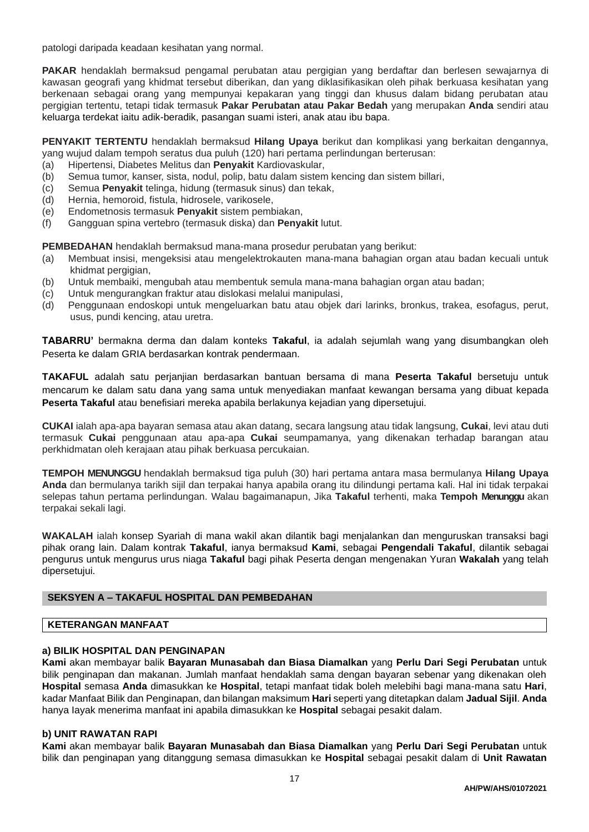patologi daripada keadaan kesihatan yang normal.

**PAKAR** hendaklah bermaksud pengamal perubatan atau pergigian yang berdaftar dan berlesen sewajarnya di kawasan geografi yang khidmat tersebut diberikan, dan yang diklasifikasikan oleh pihak berkuasa kesihatan yang berkenaan sebagai orang yang mempunyai kepakaran yang tinggi dan khusus dalam bidang perubatan atau pergigian tertentu, tetapi tidak termasuk **Pakar Perubatan atau Pakar Bedah** yang merupakan **Anda** sendiri atau keluarga terdekat iaitu adik-beradik, pasangan suami isteri, anak atau ibu bapa.

**PENYAKIT TERTENTU** hendaklah bermaksud **Hilang Upaya** berikut dan komplikasi yang berkaitan dengannya, yang wujud dalam tempoh seratus dua puluh (120) hari pertama perlindungan berterusan:

- (a) Hipertensi, Diabetes Melitus dan **Penyakit** Kardiovaskular,
- (b) Semua tumor, kanser, sista, nodul, polip, batu dalam sistem kencing dan sistem billari,
- (c) Semua **Penyakit** telinga, hidung (termasuk sinus) dan tekak,
- (d) Hernia, hemoroid, fistula, hidrosele, varikosele,
- (e) Endometnosis termasuk **Penyakit** sistem pembiakan,
- (f) Gangguan spina vertebro (termasuk diska) dan **Penyakit** lutut.

**PEMBEDAHAN** hendaklah bermaksud mana-mana prosedur perubatan yang berikut:

- (a) Membuat insisi, mengeksisi atau mengelektrokauten mana-mana bahagian organ atau badan kecuali untuk khidmat pergigian,
- (b) Untuk membaiki, mengubah atau membentuk semula mana-mana bahagian organ atau badan;
- (c) Untuk mengurangkan fraktur atau dislokasi melalui manipulasi,
- (d) Penggunaan endoskopi untuk mengeluarkan batu atau objek dari larinks, bronkus, trakea, esofagus, perut, usus, pundi kencing, atau uretra.

**TABARRU'** bermakna derma dan dalam konteks **Takaful**, ia adalah sejumlah wang yang disumbangkan oleh Peserta ke dalam GRIA berdasarkan kontrak pendermaan.

**TAKAFUL** adalah satu perjanjian berdasarkan bantuan bersama di mana **Peserta Takaful** bersetuju untuk mencarum ke dalam satu dana yang sama untuk menyediakan manfaat kewangan bersama yang dibuat kepada **Peserta Takaful** atau benefisiari mereka apabila berlakunya kejadian yang dipersetujui.

**CUKAI** ialah apa-apa bayaran semasa atau akan datang, secara langsung atau tidak langsung, **Cukai**, levi atau duti termasuk **Cukai** penggunaan atau apa-apa **Cukai** seumpamanya, yang dikenakan terhadap barangan atau perkhidmatan oleh kerajaan atau pihak berkuasa percukaian.

**TEMPOH MENUNGGU** hendaklah bermaksud tiga puluh (30) hari pertama antara masa bermulanya **Hilang Upaya Anda** dan bermulanya tarikh sijil dan terpakai hanya apabila orang itu dilindungi pertama kali. Hal ini tidak terpakai selepas tahun pertama perlindungan. Walau bagaimanapun, Jika **Takaful** terhenti, maka **Tempoh Menunggu** akan terpakai sekali lagi.

**WAKALAH** ialah konsep Syariah di mana wakil akan dilantik bagi menjalankan dan menguruskan transaksi bagi pihak orang lain. Dalam kontrak **Takaful**, ianya bermaksud **Kami**, sebagai **Pengendali Takaful**, dilantik sebagai pengurus untuk mengurus urus niaga **Takaful** bagi pihak Peserta dengan mengenakan Yuran **Wakalah** yang telah dipersetujui.

## **SEKSYEN A – TAKAFUL HOSPITAL DAN PEMBEDAHAN**

## **KETERANGAN MANFAAT**

#### **a) BILIK HOSPITAL DAN PENGINAPAN**

**Kami** akan membayar balik **Bayaran Munasabah dan Biasa Diamalkan** yang **Perlu Dari Segi Perubatan** untuk bilik penginapan dan makanan. Jumlah manfaat hendaklah sama dengan bayaran sebenar yang dikenakan oleh **Hospital** semasa **Anda** dimasukkan ke **Hospital**, tetapi manfaat tidak boleh melebihi bagi mana-mana satu **Hari**, kadar Manfaat Bilik dan Penginapan, dan bilangan maksimum **Hari** seperti yang ditetapkan dalam **Jadual Sijil**. **Anda** hanya Iayak menerima manfaat ini apabila dimasukkan ke **Hospital** sebagai pesakit dalam.

#### **b) UNIT RAWATAN RAPI**

**Kami** akan membayar balik **Bayaran Munasabah dan Biasa Diamalkan** yang **Perlu Dari Segi Perubatan** untuk bilik dan penginapan yang ditanggung semasa dimasukkan ke **Hospital** sebagai pesakit dalam di **Unit Rawatan**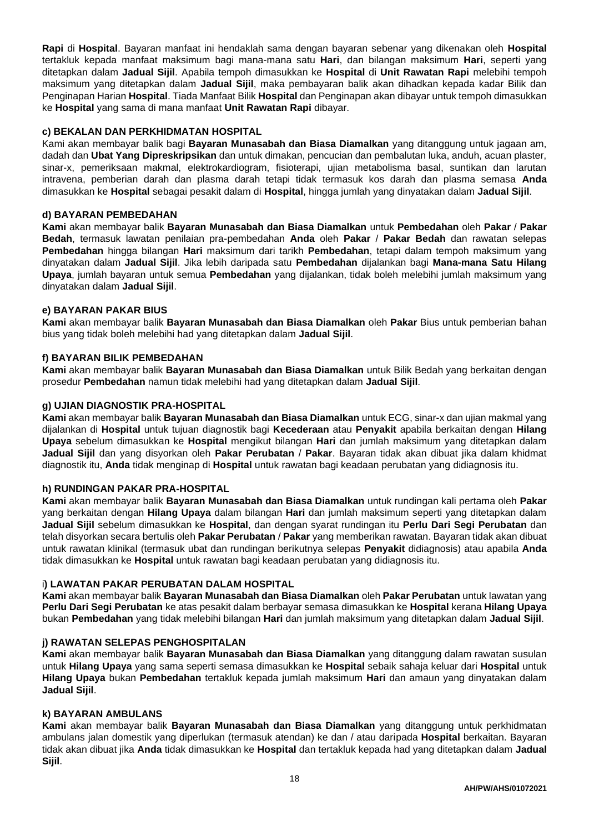**Rapi** di **Hospital**. Bayaran manfaat ini hendaklah sama dengan bayaran sebenar yang dikenakan oleh **Hospital** tertakluk kepada manfaat maksimum bagi mana-mana satu **Hari**, dan bilangan maksimum **Hari**, seperti yang ditetapkan dalam **Jadual Sijil**. Apabila tempoh dimasukkan ke **Hospital** di **Unit Rawatan Rapi** melebihi tempoh maksimum yang ditetapkan dalam **Jadual Sijil**, maka pembayaran balik akan dihadkan kepada kadar Bilik dan Penginapan Harian **Hospital**. Tiada Manfaat Bilik **Hospital** dan Penginapan akan dibayar untuk tempoh dimasukkan ke **Hospital** yang sama di mana manfaat **Unit Rawatan Rapi** dibayar.

## **c) BEKALAN DAN PERKHIDMATAN HOSPITAL**

Kami akan membayar balik bagi **Bayaran Munasabah dan Biasa Diamalkan** yang ditanggung untuk jagaan am, dadah dan **Ubat Yang Dipreskripsikan** dan untuk dimakan, pencucian dan pembalutan luka, anduh, acuan plaster, sinar-x, pemeriksaan makmal, elektrokardiogram, fisioterapi, ujian metabolisma basal, suntikan dan larutan intravena, pemberian darah dan plasma darah tetapi tidak termasuk kos darah dan plasma semasa **Anda** dimasukkan ke **Hospital** sebagai pesakit dalam di **Hospital**, hingga jumlah yang dinyatakan dalam **Jadual Sijil**.

## **d) BAYARAN PEMBEDAHAN**

**Kami** akan membayar balik **Bayaran Munasabah dan Biasa Diamalkan** untuk **Pembedahan** oleh **Pakar** / **Pakar Bedah**, termasuk lawatan penilaian pra-pembedahan **Anda** oleh **Pakar** / **Pakar Bedah** dan rawatan selepas **Pembedahan** hingga bilangan **Hari** maksimum dari tarikh **Pembedahan**, tetapi dalam tempoh maksimum yang dinyatakan dalam **Jadual Sijil**. Jika lebih daripada satu **Pembedahan** dijalankan bagi **Mana-mana Satu Hilang Upaya**, jumlah bayaran untuk semua **Pembedahan** yang dijalankan, tidak boleh melebihi jumlah maksimum yang dinyatakan dalam **Jadual Sijil**.

## **e) BAYARAN PAKAR BIUS**

**Kami** akan membayar balik **Bayaran Munasabah dan Biasa Diamalkan** oleh **Pakar** Bius untuk pemberian bahan bius yang tidak boleh melebihi had yang ditetapkan dalam **Jadual Sijil**.

## **f) BAYARAN BILIK PEMBEDAHAN**

**Kami** akan membayar balik **Bayaran Munasabah dan Biasa Diamalkan** untuk Bilik Bedah yang berkaitan dengan prosedur **Pembedahan** namun tidak melebihi had yang ditetapkan dalam **Jadual Sijil**.

## **g) UJIAN DIAGNOSTIK PRA-HOSPITAL**

**Kami** akan membayar balik **Bayaran Munasabah dan Biasa Diamalkan** untuk ECG, sinar-x dan ujian makmal yang dijalankan di **Hospital** untuk tujuan diagnostik bagi **Kecederaan** atau **Penyakit** apabila berkaitan dengan **Hilang Upaya** sebelum dimasukkan ke **Hospital** mengikut bilangan **Hari** dan jumlah maksimum yang ditetapkan dalam **Jadual Sijil** dan yang disyorkan oleh **Pakar Perubatan** / **Pakar**. Bayaran tidak akan dibuat jika dalam khidmat diagnostik itu, **Anda** tidak menginap di **Hospital** untuk rawatan bagi keadaan perubatan yang didiagnosis itu.

## **h) RUNDINGAN PAKAR PRA-HOSPITAL**

**Kami** akan membayar balik **Bayaran Munasabah dan Biasa Diamalkan** untuk rundingan kali pertama oleh **Pakar** yang berkaitan dengan **Hilang Upaya** dalam bilangan **Hari** dan jumlah maksimum seperti yang ditetapkan dalam **Jadual Sijil** sebelum dimasukkan ke **Hospital**, dan dengan syarat rundingan itu **Perlu Dari Segi Perubatan** dan telah disyorkan secara bertulis oleh **Pakar Perubatan** / **Pakar** yang memberikan rawatan. Bayaran tidak akan dibuat untuk rawatan klinikal (termasuk ubat dan rundingan berikutnya selepas **Penyakit** didiagnosis) atau apabila **Anda** tidak dimasukkan ke **Hospital** untuk rawatan bagi keadaan perubatan yang didiagnosis itu.

#### i**) LAWATAN PAKAR PERUBATAN DALAM HOSPITAL**

**Kami** akan membayar balik **Bayaran Munasabah dan Biasa Diamalkan** oleh **Pakar Perubatan** untuk lawatan yang **Perlu Dari Segi Perubatan** ke atas pesakit dalam berbayar semasa dimasukkan ke **Hospital** kerana **Hilang Upaya** bukan **Pembedahan** yang tidak melebihi bilangan **Hari** dan jumlah maksimum yang ditetapkan dalam **Jadual Sijil**.

## **j) RAWATAN SELEPAS PENGHOSPITALAN**

**Kami** akan membayar balik **Bayaran Munasabah dan Biasa Diamalkan** yang ditanggung dalam rawatan susulan untuk **Hilang Upaya** yang sama seperti semasa dimasukkan ke **Hospital** sebaik sahaja keluar dari **Hospital** untuk **Hilang Upaya** bukan **Pembedahan** tertakluk kepada jumlah maksimum **Hari** dan amaun yang dinyatakan dalam **Jadual Sijil**.

#### **k) BAYARAN AMBULANS**

**Kami** akan membayar balik **Bayaran Munasabah dan Biasa Diamalkan** yang ditanggung untuk perkhidmatan ambulans jalan domestik yang diperlukan (termasuk atendan) ke dan / atau daripada **Hospital** berkaitan. Bayaran tidak akan dibuat jika **Anda** tidak dimasukkan ke **Hospital** dan tertakluk kepada had yang ditetapkan dalam **Jadual Sijil**.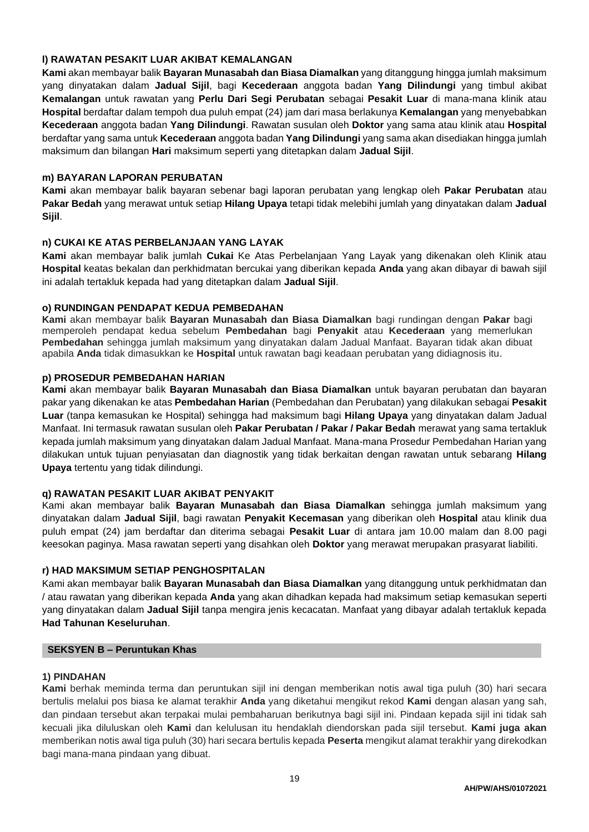## **l) RAWATAN PESAKIT LUAR AKIBAT KEMALANGAN**

**Kami** akan membayar balik **Bayaran Munasabah dan Biasa Diamalkan** yang ditanggung hingga jumlah maksimum yang dinyatakan dalam **Jadual Sijil**, bagi **Kecederaan** anggota badan **Yang Dilindungi** yang timbul akibat **Kemalangan** untuk rawatan yang **Perlu Dari Segi Perubatan** sebagai **Pesakit Luar** di mana-mana klinik atau **Hospital** berdaftar dalam tempoh dua puluh empat (24) jam dari masa berlakunya **Kemalangan** yang menyebabkan **Kecederaan** anggota badan **Yang Dilindungi**. Rawatan susulan oleh **Doktor** yang sama atau klinik atau **Hospital** berdaftar yang sama untuk **Kecederaan** anggota badan **Yang Dilindungi** yang sama akan disediakan hingga jumlah maksimum dan bilangan **Hari** maksimum seperti yang ditetapkan dalam **Jadual Sijil**.

# **m) BAYARAN LAPORAN PERUBATAN**

**Kami** akan membayar balik bayaran sebenar bagi laporan perubatan yang lengkap oleh **Pakar Perubatan** atau **Pakar Bedah** yang merawat untuk setiap **Hilang Upaya** tetapi tidak melebihi jumlah yang dinyatakan dalam **Jadual Sijil**.

# **n) CUKAI KE ATAS PERBELANJAAN YANG LAYAK**

**Kami** akan membayar balik jumlah **Cukai** Ke Atas Perbelanjaan Yang Layak yang dikenakan oleh Klinik atau **Hospital** keatas bekalan dan perkhidmatan bercukai yang diberikan kepada **Anda** yang akan dibayar di bawah sijil ini adalah tertakluk kepada had yang ditetapkan dalam **Jadual Sijil**.

# **o) RUNDINGAN PENDAPAT KEDUA PEMBEDAHAN**

**Kami** akan membayar balik **Bayaran Munasabah dan Biasa Diamalkan** bagi rundingan dengan **Pakar** bagi memperoleh pendapat kedua sebelum **Pembedahan** bagi **Penyakit** atau **Kecederaan** yang memerlukan **Pembedahan** sehingga jumlah maksimum yang dinyatakan dalam Jadual Manfaat. Bayaran tidak akan dibuat apabila **Anda** tidak dimasukkan ke **Hospital** untuk rawatan bagi keadaan perubatan yang didiagnosis itu.

# **p) PROSEDUR PEMBEDAHAN HARIAN**

**Kami** akan membayar balik **Bayaran Munasabah dan Biasa Diamalkan** untuk bayaran perubatan dan bayaran pakar yang dikenakan ke atas **Pembedahan Harian** (Pembedahan dan Perubatan) yang dilakukan sebagai **Pesakit Luar** (tanpa kemasukan ke Hospital) sehingga had maksimum bagi **Hilang Upaya** yang dinyatakan dalam Jadual Manfaat. Ini termasuk rawatan susulan oleh **Pakar Perubatan / Pakar / Pakar Bedah** merawat yang sama tertakluk kepada jumlah maksimum yang dinyatakan dalam Jadual Manfaat. Mana-mana Prosedur Pembedahan Harian yang dilakukan untuk tujuan penyiasatan dan diagnostik yang tidak berkaitan dengan rawatan untuk sebarang **Hilang Upaya** tertentu yang tidak dilindungi.

## **q) RAWATAN PESAKIT LUAR AKIBAT PENYAKIT**

Kami akan membayar balik **Bayaran Munasabah dan Biasa Diamalkan** sehingga jumlah maksimum yang dinyatakan dalam **Jadual Sijil**, bagi rawatan **Penyakit Kecemasan** yang diberikan oleh **Hospital** atau klinik dua puluh empat (24) jam berdaftar dan diterima sebagai **Pesakit Luar** di antara jam 10.00 malam dan 8.00 pagi keesokan paginya. Masa rawatan seperti yang disahkan oleh **Doktor** yang merawat merupakan prasyarat liabiliti.

## **r) HAD MAKSIMUM SETIAP PENGHOSPITALAN**

Kami akan membayar balik **Bayaran Munasabah dan Biasa Diamalkan** yang ditanggung untuk perkhidmatan dan / atau rawatan yang diberikan kepada **Anda** yang akan dihadkan kepada had maksimum setiap kemasukan seperti yang dinyatakan dalam **Jadual Sijil** tanpa mengira jenis kecacatan. Manfaat yang dibayar adalah tertakluk kepada **Had Tahunan Keseluruhan**.

## **SEKSYEN B – Peruntukan Khas**

## **1) PINDAHAN**

**Kami** berhak meminda terma dan peruntukan sijil ini dengan memberikan notis awal tiga puluh (30) hari secara bertulis melalui pos biasa ke alamat terakhir **Anda** yang diketahui mengikut rekod **Kami** dengan alasan yang sah, dan pindaan tersebut akan terpakai mulai pembaharuan berikutnya bagi sijil ini. Pindaan kepada sijil ini tidak sah kecuali jika diluluskan oleh **Kami** dan kelulusan itu hendaklah diendorskan pada sijil tersebut. **Kami juga akan** memberikan notis awal tiga puluh (30) hari secara bertulis kepada **Peserta** mengikut alamat terakhir yang direkodkan bagi mana-mana pindaan yang dibuat.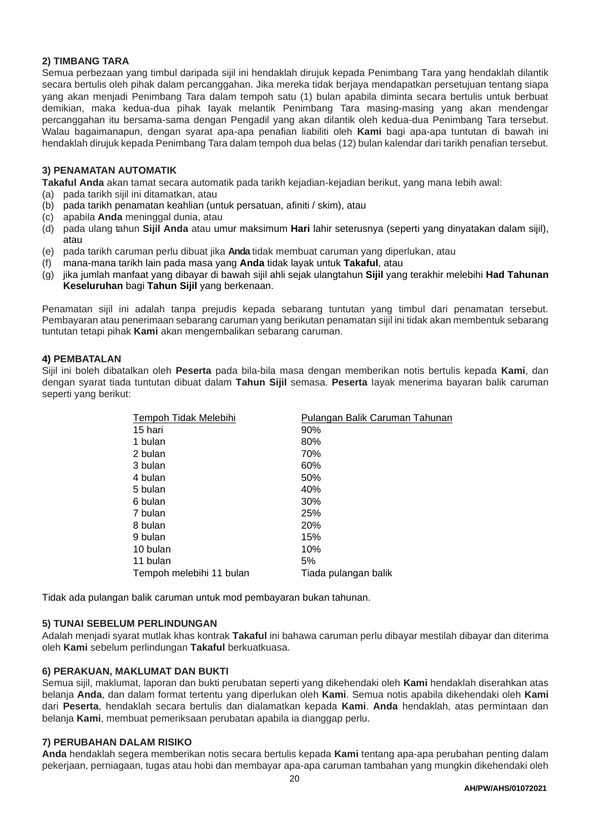# **2) TIMBANG TARA**

Semua perbezaan yang timbul daripada sijil ini hendaklah dirujuk kepada Penimbang Tara yang hendaklah dilantik secara bertulis oleh pihak dalam percanggahan. Jika mereka tidak berjaya mendapatkan persetujuan tentang siapa yang akan menjadi Penimbang Tara dalam tempoh satu (1) bulan apabila diminta secara bertulis untuk berbuat demikian, maka kedua-dua pihak Iayak melantik Penimbang Tara masing-masing yang akan mendengar percanggahan itu bersama-sama dengan Pengadil yang akan dilantik oleh kedua-dua Penimbang Tara tersebut. Walau bagaimanapun, dengan syarat apa-apa penafian liabiliti oleh **Kami** bagi apa-apa tuntutan di bawah ini hendaklah dirujuk kepada Penimbang Tara dalam tempoh dua belas (12) bulan kalendar dari tarikh penafian tersebut.

## **3) PENAMATAN AUTOMATIK**

**Takaful Anda** akan tamat secara automatik pada tarikh kejadian-kejadian berikut, yang mana Iebih awal:

- (a) pada tarikh sijil ini ditamatkan, atau
- (b) pada tarikh penamatan keahlian (untuk persatuan, afiniti / skim), atau
- (c) apabila **Anda** meninggal dunia, atau
- (d) pada ulang tahun **Sijil Anda** atau umur maksimum **Hari** lahir seterusnya (seperti yang dinyatakan dalam sijil), atau
- (e) pada tarikh caruman perlu dibuat jika **Anda** tidak membuat caruman yang diperlukan, atau
- (f) mana-mana tarikh lain pada masa yang **Anda** tidak layak untuk **Takaful**, atau
- (g) jika jumlah manfaat yang dibayar di bawah sijil ahli sejak ulangtahun **Sijil** yang terakhir melebihi **Had Tahunan Keseluruhan** bagi **Tahun Sijil** yang berkenaan.

Penamatan sijil ini adalah tanpa prejudis kepada sebarang tuntutan yang timbul dari penamatan tersebut. Pembayaran atau penerimaan sebarang caruman yang berikutan penamatan sijil ini tidak akan membentuk sebarang tuntutan tetapi pihak **Kami** akan mengembalikan sebarang caruman.

## **4) PEMBATALAN**

Sijil ini boleh dibatalkan oleh **Peserta** pada bila-bila masa dengan memberikan notis bertulis kepada **Kami**, dan dengan syarat tiada tuntutan dibuat dalam **Tahun Sijil** semasa. **Peserta** Iayak menerima bayaran balik caruman seperti yang berikut:

| Tempoh Tidak Melebihi    | Pulangan Balik Caruman Tahunan |
|--------------------------|--------------------------------|
| 15 hari                  | 90%                            |
| 1 bulan                  | 80%                            |
| 2 bulan                  | 70%                            |
| 3 bulan                  | 60%                            |
| 4 bulan                  | 50%                            |
| 5 bulan                  | 40%                            |
| 6 bulan                  | 30%                            |
| 7 bulan                  | 25%                            |
| 8 bulan                  | 20%                            |
| 9 bulan                  | 15%                            |
| 10 bulan                 | 10%                            |
| 11 bulan                 | 5%                             |
| Tempoh melebihi 11 bulan | Tiada pulangan balik           |

Tidak ada pulangan balik caruman untuk mod pembayaran bukan tahunan.

#### **5) TUNAI SEBELUM PERLINDUNGAN**

Adalah menjadi syarat mutlak khas kontrak **Takaful** ini bahawa caruman perlu dibayar mestilah dibayar dan diterima oleh **Kami** sebelum perlindungan **Takaful** berkuatkuasa.

## **6) PERAKUAN, MAKLUMAT DAN BUKTI**

Semua sijil, maklumat, laporan dan bukti perubatan seperti yang dikehendaki oleh **Kami** hendaklah diserahkan atas belanja **Anda**, dan dalam format tertentu yang diperlukan oleh **Kami**. Semua notis apabila dikehendaki oleh **Kami** dari **Peserta**, hendaklah secara bertulis dan dialamatkan kepada **Kami**. **Anda** hendaklah, atas permintaan dan belanja **Kami**, membuat pemeriksaan perubatan apabila ia dianggap perlu.

#### **7) PERUBAHAN DALAM RISIKO**

**Anda** hendaklah segera memberikan notis secara bertulis kepada **Kami** tentang apa-apa perubahan penting dalam pekerjaan, perniagaan, tugas atau hobi dan membayar apa-apa caruman tambahan yang mungkin dikehendaki oleh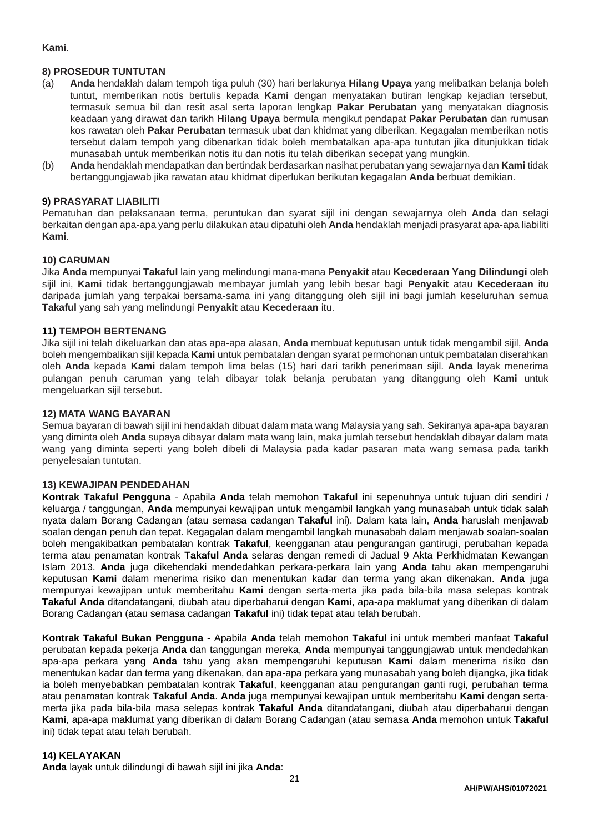# **Kami**.

## **8) PROSEDUR TUNTUTAN**

- (a) **Anda** hendaklah dalam tempoh tiga puluh (30) hari berlakunya **Hilang Upaya** yang melibatkan belanja boleh tuntut, memberikan notis bertulis kepada **Kami** dengan menyatakan butiran lengkap kejadian tersebut, termasuk semua bil dan resit asal serta laporan lengkap **Pakar Perubatan** yang menyatakan diagnosis keadaan yang dirawat dan tarikh **Hilang Upaya** bermula mengikut pendapat **Pakar Perubatan** dan rumusan kos rawatan oleh **Pakar Perubatan** termasuk ubat dan khidmat yang diberikan. Kegagalan memberikan notis tersebut dalam tempoh yang dibenarkan tidak boleh membatalkan apa-apa tuntutan jika ditunjukkan tidak munasabah untuk memberikan notis itu dan notis itu telah diberikan secepat yang mungkin.
- (b) **Anda** hendaklah mendapatkan dan bertindak berdasarkan nasihat perubatan yang sewajarnya dan **Kami** tidak bertanggungjawab jika rawatan atau khidmat diperlukan berikutan kegagalan **Anda** berbuat demikian.

## **9) PRASYARAT LIABILITI**

Pematuhan dan pelaksanaan terma, peruntukan dan syarat sijil ini dengan sewajarnya oleh **Anda** dan selagi berkaitan dengan apa-apa yang perlu dilakukan atau dipatuhi oleh **Anda** hendaklah menjadi prasyarat apa-apa liabiliti **Kami**.

## **10) CARUMAN**

Jika **Anda** mempunyai **Takaful** lain yang melindungi mana-mana **Penyakit** atau **Kecederaan Yang Dilindungi** oleh sijil ini, **Kami** tidak bertanggungjawab membayar jumlah yang lebih besar bagi **Penyakit** atau **Kecederaan** itu daripada jumlah yang terpakai bersama-sama ini yang ditanggung oleh sijil ini bagi jumlah keseluruhan semua **Takaful** yang sah yang melindungi **Penyakit** atau **Kecederaan** itu.

## **11) TEMPOH BERTENANG**

Jika sijil ini telah dikeluarkan dan atas apa-apa alasan, **Anda** membuat keputusan untuk tidak mengambil sijil, **Anda** boleh mengembalikan sijil kepada **Kami** untuk pembatalan dengan syarat permohonan untuk pembatalan diserahkan oleh **Anda** kepada **Kami** dalam tempoh lima belas (15) hari dari tarikh penerimaan sijil. **Anda** layak menerima pulangan penuh caruman yang telah dibayar tolak belanja perubatan yang ditanggung oleh **Kami** untuk mengeluarkan sijil tersebut.

#### **12) MATA WANG BAYARAN**

Semua bayaran di bawah sijil ini hendaklah dibuat dalam mata wang Malaysia yang sah. Sekiranya apa-apa bayaran yang diminta oleh **Anda** supaya dibayar dalam mata wang lain, maka jumlah tersebut hendaklah dibayar dalam mata wang yang diminta seperti yang boleh dibeli di Malaysia pada kadar pasaran mata wang semasa pada tarikh penyelesaian tuntutan.

#### **13) KEWAJIPAN PENDEDAHAN**

**Kontrak Takaful Pengguna** - Apabila **Anda** telah memohon **Takaful** ini sepenuhnya untuk tujuan diri sendiri / keluarga / tanggungan, **Anda** mempunyai kewajipan untuk mengambil langkah yang munasabah untuk tidak salah nyata dalam Borang Cadangan (atau semasa cadangan **Takaful** ini). Dalam kata lain, **Anda** haruslah menjawab soalan dengan penuh dan tepat. Kegagalan dalam mengambil langkah munasabah dalam menjawab soalan-soalan boleh mengakibatkan pembatalan kontrak **Takaful**, keengganan atau pengurangan gantirugi, perubahan kepada terma atau penamatan kontrak **Takaful Anda** selaras dengan remedi di Jadual 9 Akta Perkhidmatan Kewangan Islam 2013. **Anda** juga dikehendaki mendedahkan perkara-perkara lain yang **Anda** tahu akan mempengaruhi keputusan **Kami** dalam menerima risiko dan menentukan kadar dan terma yang akan dikenakan. **Anda** juga mempunyai kewajipan untuk memberitahu **Kami** dengan serta-merta jika pada bila-bila masa selepas kontrak **Takaful Anda** ditandatangani, diubah atau diperbaharui dengan **Kami**, apa-apa maklumat yang diberikan di dalam Borang Cadangan (atau semasa cadangan **Takaful** ini) tidak tepat atau telah berubah.

**Kontrak Takaful Bukan Pengguna** - Apabila **Anda** telah memohon **Takaful** ini untuk memberi manfaat **Takaful** perubatan kepada pekerja **Anda** dan tanggungan mereka, **Anda** mempunyai tanggungjawab untuk mendedahkan apa-apa perkara yang **Anda** tahu yang akan mempengaruhi keputusan **Kami** dalam menerima risiko dan menentukan kadar dan terma yang dikenakan, dan apa-apa perkara yang munasabah yang boleh dijangka, jika tidak ia boleh menyebabkan pembatalan kontrak **Takaful**, keengganan atau pengurangan ganti rugi, perubahan terma atau penamatan kontrak **Takaful Anda**. **Anda** juga mempunyai kewajipan untuk memberitahu **Kami** dengan sertamerta jika pada bila-bila masa selepas kontrak **Takaful Anda** ditandatangani, diubah atau diperbaharui dengan **Kami**, apa-apa maklumat yang diberikan di dalam Borang Cadangan (atau semasa **Anda** memohon untuk **Takaful** ini) tidak tepat atau telah berubah.

#### **14) KELAYAKAN**

**Anda** layak untuk dilindungi di bawah sijil ini jika **Anda**: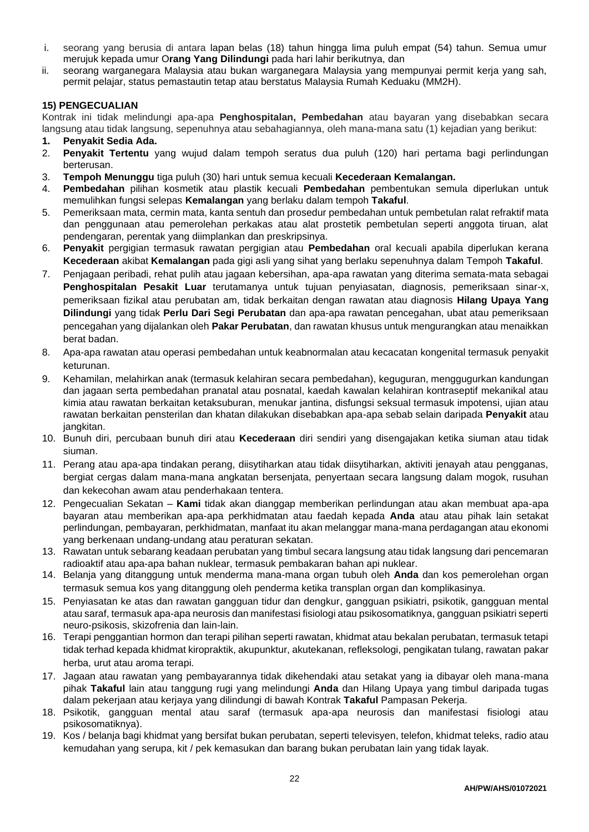- i. seorang yang berusia di antara lapan belas (18) tahun hingga lima puluh empat (54) tahun. Semua umur merujuk kepada umur O**rang Yang Dilindungi** pada hari lahir berikutnya, dan
- ii. seorang warganegara Malaysia atau bukan warganegara Malaysia yang mempunyai permit kerja yang sah, permit pelajar, status pemastautin tetap atau berstatus Malaysia Rumah Keduaku (MM2H).

## **15) PENGECUALIAN**

Kontrak ini tidak melindungi apa-apa **Penghospitalan, Pembedahan** atau bayaran yang disebabkan secara langsung atau tidak langsung, sepenuhnya atau sebahagiannya, oleh mana-mana satu (1) kejadian yang berikut:

- **1. Penyakit Sedia Ada.**
- 2. **Penyakit Tertentu** yang wujud dalam tempoh seratus dua puluh (120) hari pertama bagi perlindungan berterusan.
- 3. **Tempoh Menunggu** tiga puluh (30) hari untuk semua kecuali **Kecederaan Kemalangan.**
- 4. **Pembedahan** pilihan kosmetik atau plastik kecuali **Pembedahan** pembentukan semula diperlukan untuk memulihkan fungsi selepas **Kemalangan** yang berlaku dalam tempoh **Takaful**.
- 5. Pemeriksaan mata, cermin mata, kanta sentuh dan prosedur pembedahan untuk pembetulan ralat refraktif mata dan penggunaan atau pemerolehan perkakas atau alat prostetik pembetulan seperti anggota tiruan, alat pendengaran, perentak yang diimplankan dan preskripsinya.
- 6. **Penyakit** pergigian termasuk rawatan pergigian atau **Pembedahan** oral kecuali apabila diperlukan kerana **Kecederaan** akibat **Kemalangan** pada gigi asli yang sihat yang berlaku sepenuhnya dalam Tempoh **Takaful**.
- 7. Penjagaan peribadi, rehat pulih atau jagaan kebersihan, apa-apa rawatan yang diterima semata-mata sebagai **Penghospitalan Pesakit Luar** terutamanya untuk tujuan penyiasatan, diagnosis, pemeriksaan sinar-x, pemeriksaan fizikal atau perubatan am, tidak berkaitan dengan rawatan atau diagnosis **Hilang Upaya Yang Dilindungi** yang tidak **Perlu Dari Segi Perubatan** dan apa-apa rawatan pencegahan, ubat atau pemeriksaan pencegahan yang dijalankan oleh **Pakar Perubatan**, dan rawatan khusus untuk mengurangkan atau menaikkan berat badan.
- 8. Apa-apa rawatan atau operasi pembedahan untuk keabnormalan atau kecacatan kongenital termasuk penyakit keturunan.
- 9. Kehamilan, melahirkan anak (termasuk kelahiran secara pembedahan), keguguran, menggugurkan kandungan dan jagaan serta pembedahan pranatal atau posnatal, kaedah kawalan kelahiran kontraseptif mekanikal atau kimia atau rawatan berkaitan ketaksuburan, menukar jantina, disfungsi seksual termasuk impotensi, ujian atau rawatan berkaitan pensterilan dan khatan dilakukan disebabkan apa-apa sebab selain daripada **Penyakit** atau jangkitan.
- 10. Bunuh diri, percubaan bunuh diri atau **Kecederaan** diri sendiri yang disengajakan ketika siuman atau tidak siuman.
- 11. Perang atau apa-apa tindakan perang, diisytiharkan atau tidak diisytiharkan, aktiviti jenayah atau pengganas, bergiat cergas dalam mana-mana angkatan bersenjata, penyertaan secara langsung dalam mogok, rusuhan dan kekecohan awam atau penderhakaan tentera.
- 12. Pengecualian Sekatan **Kami** tidak akan dianggap memberikan perlindungan atau akan membuat apa-apa bayaran atau memberikan apa-apa perkhidmatan atau faedah kepada **Anda** atau atau pihak lain setakat perlindungan, pembayaran, perkhidmatan, manfaat itu akan melanggar mana-mana perdagangan atau ekonomi yang berkenaan undang-undang atau peraturan sekatan.
- 13. Rawatan untuk sebarang keadaan perubatan yang timbul secara langsung atau tidak langsung dari pencemaran radioaktif atau apa-apa bahan nuklear, termasuk pembakaran bahan api nuklear.
- 14. Belanja yang ditanggung untuk menderma mana-mana organ tubuh oleh **Anda** dan kos pemerolehan organ termasuk semua kos yang ditanggung oleh penderma ketika transplan organ dan komplikasinya.
- 15. Penyiasatan ke atas dan rawatan gangguan tidur dan dengkur, gangguan psikiatri, psikotik, gangguan mental atau saraf, termasuk apa-apa neurosis dan manifestasi fisiologi atau psikosomatiknya, gangguan psikiatri seperti neuro-psikosis, skizofrenia dan lain-lain.
- 16. Terapi penggantian hormon dan terapi pilihan seperti rawatan, khidmat atau bekalan perubatan, termasuk tetapi tidak terhad kepada khidmat kiropraktik, akupunktur, akutekanan, refleksologi, pengikatan tulang, rawatan pakar herba, urut atau aroma terapi.
- 17. Jagaan atau rawatan yang pembayarannya tidak dikehendaki atau setakat yang ia dibayar oleh mana-mana pihak **Takaful** lain atau tanggung rugi yang melindungi **Anda** dan Hilang Upaya yang timbul daripada tugas dalam pekerjaan atau kerjaya yang dilindungi di bawah Kontrak **Takaful** Pampasan Pekerja.
- 18. Psikotik, gangguan mental atau saraf (termasuk apa-apa neurosis dan manifestasi fisiologi atau psikosomatiknya).
- 19. Kos / belanja bagi khidmat yang bersifat bukan perubatan, seperti televisyen, telefon, khidmat teleks, radio atau kemudahan yang serupa, kit / pek kemasukan dan barang bukan perubatan lain yang tidak layak.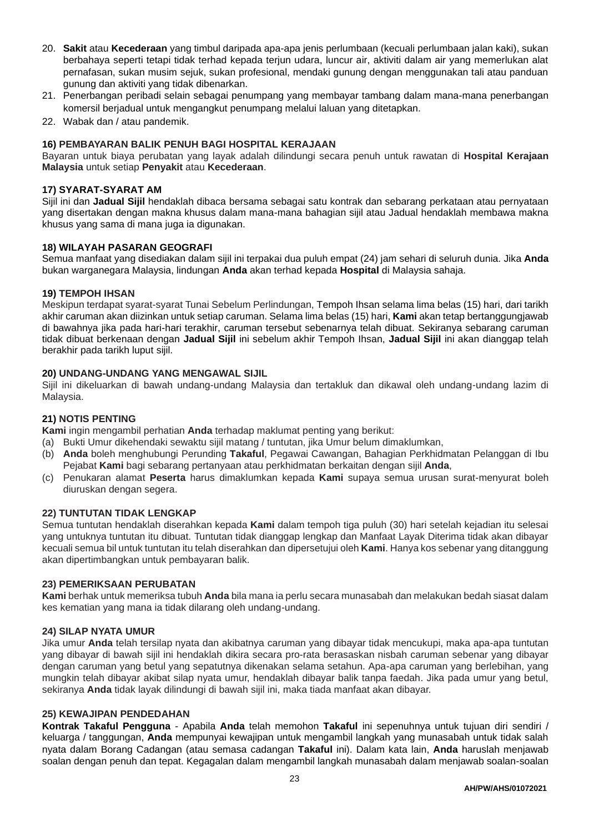- 20. **Sakit** atau **Kecederaan** yang timbul daripada apa-apa jenis perlumbaan (kecuali perlumbaan jalan kaki), sukan berbahaya seperti tetapi tidak terhad kepada terjun udara, luncur air, aktiviti dalam air yang memerlukan alat pernafasan, sukan musim sejuk, sukan profesional, mendaki gunung dengan menggunakan tali atau panduan gunung dan aktiviti yang tidak dibenarkan.
- 21. Penerbangan peribadi selain sebagai penumpang yang membayar tambang dalam mana-mana penerbangan komersil berjadual untuk mengangkut penumpang melalui laluan yang ditetapkan.
- 22. Wabak dan / atau pandemik.

## **16) PEMBAYARAN BALIK PENUH BAGI HOSPITAL KERAJAAN**

Bayaran untuk biaya perubatan yang layak adalah dilindungi secara penuh untuk rawatan di **Hospital Kerajaan Malaysia** untuk setiap **Penyakit** atau **Kecederaan**.

## **17) SYARAT-SYARAT AM**

Sijil ini dan **Jadual Sijil** hendaklah dibaca bersama sebagai satu kontrak dan sebarang perkataan atau pernyataan yang disertakan dengan makna khusus dalam mana-mana bahagian sijil atau Jadual hendaklah membawa makna khusus yang sama di mana juga ia digunakan.

## **18) WILAYAH PASARAN GEOGRAFI**

Semua manfaat yang disediakan dalam sijil ini terpakai dua puluh empat (24) jam sehari di seluruh dunia. Jika **Anda** bukan warganegara Malaysia, lindungan **Anda** akan terhad kepada **Hospital** di Malaysia sahaja.

## **19) TEMPOH IHSAN**

Meskipun terdapat syarat-syarat Tunai Sebelum Perlindungan, Tempoh Ihsan selama lima belas (15) hari, dari tarikh akhir caruman akan diizinkan untuk setiap caruman. Selama lima belas (15) hari, **Kami** akan tetap bertanggungjawab di bawahnya jika pada hari-hari terakhir, caruman tersebut sebenarnya telah dibuat. Sekiranya sebarang caruman tidak dibuat berkenaan dengan **Jadual Sijil** ini sebelum akhir Tempoh Ihsan, **Jadual Sijil** ini akan dianggap telah berakhir pada tarikh luput sijil.

## **20) UNDANG-UNDANG YANG MENGAWAL SIJIL**

Sijil ini dikeluarkan di bawah undang-undang Malaysia dan tertakluk dan dikawal oleh undang-undang lazim di Malaysia.

## **21) NOTIS PENTING**

**Kami** ingin mengambil perhatian **Anda** terhadap maklumat penting yang berikut:

- (a) Bukti Umur dikehendaki sewaktu sijil matang / tuntutan, jika Umur belum dimaklumkan,
- (b) **Anda** boleh menghubungi Perunding **Takaful**, Pegawai Cawangan, Bahagian Perkhidmatan Pelanggan di Ibu Pejabat **Kami** bagi sebarang pertanyaan atau perkhidmatan berkaitan dengan sijil **Anda**,
- (c) Penukaran alamat **Peserta** harus dimaklumkan kepada **Kami** supaya semua urusan surat-menyurat boleh diuruskan dengan segera.

#### **22) TUNTUTAN TIDAK LENGKAP**

Semua tuntutan hendaklah diserahkan kepada **Kami** dalam tempoh tiga puluh (30) hari setelah kejadian itu selesai yang untuknya tuntutan itu dibuat. Tuntutan tidak dianggap lengkap dan Manfaat Layak Diterima tidak akan dibayar kecuali semua bil untuk tuntutan itu telah diserahkan dan dipersetujui oleh **Kami**. Hanya kos sebenar yang ditanggung akan dipertimbangkan untuk pembayaran balik.

#### **23) PEMERIKSAAN PERUBATAN**

**Kami** berhak untuk memeriksa tubuh **Anda** bila mana ia perlu secara munasabah dan melakukan bedah siasat dalam kes kematian yang mana ia tidak dilarang oleh undang-undang.

#### **24) SILAP NYATA UMUR**

Jika umur **Anda** telah tersilap nyata dan akibatnya caruman yang dibayar tidak mencukupi, maka apa-apa tuntutan yang dibayar di bawah sijil ini hendaklah dikira secara pro-rata berasaskan nisbah caruman sebenar yang dibayar dengan caruman yang betul yang sepatutnya dikenakan selama setahun. Apa-apa caruman yang berlebihan, yang mungkin telah dibayar akibat silap nyata umur, hendaklah dibayar balik tanpa faedah. Jika pada umur yang betul, sekiranya **Anda** tidak layak dilindungi di bawah sijil ini, maka tiada manfaat akan dibayar.

#### **25) KEWAJIPAN PENDEDAHAN**

**Kontrak Takaful Pengguna** - Apabila **Anda** telah memohon **Takaful** ini sepenuhnya untuk tujuan diri sendiri / keluarga / tanggungan, **Anda** mempunyai kewajipan untuk mengambil langkah yang munasabah untuk tidak salah nyata dalam Borang Cadangan (atau semasa cadangan **Takaful** ini). Dalam kata lain, **Anda** haruslah menjawab soalan dengan penuh dan tepat. Kegagalan dalam mengambil langkah munasabah dalam menjawab soalan-soalan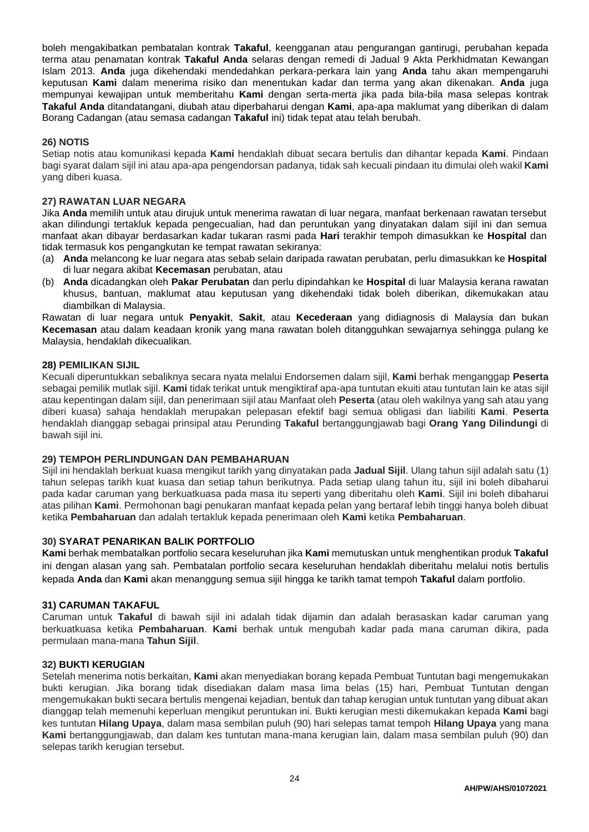boleh mengakibatkan pembatalan kontrak **Takaful**, keengganan atau pengurangan gantirugi, perubahan kepada terma atau penamatan kontrak **Takaful Anda** selaras dengan remedi di Jadual 9 Akta Perkhidmatan Kewangan Islam 2013. **Anda** juga dikehendaki mendedahkan perkara-perkara lain yang **Anda** tahu akan mempengaruhi keputusan **Kami** dalam menerima risiko dan menentukan kadar dan terma yang akan dikenakan. **Anda** juga mempunyai kewajipan untuk memberitahu **Kami** dengan serta-merta jika pada bila-bila masa selepas kontrak **Takaful Anda** ditandatangani, diubah atau diperbaharui dengan **Kami**, apa-apa maklumat yang diberikan di dalam Borang Cadangan (atau semasa cadangan **Takaful** ini) tidak tepat atau telah berubah.

## **26) NOTIS**

Setiap notis atau komunikasi kepada **Kami** hendaklah dibuat secara bertulis dan dihantar kepada **Kami**. Pindaan bagi syarat dalam sijil ini atau apa-apa pengendorsan padanya, tidak sah kecuali pindaan itu dimulai oleh wakil **Kami** yang diberi kuasa.

## **27) RAWATAN LUAR NEGARA**

Jika **Anda** memilih untuk atau dirujuk untuk menerima rawatan di luar negara, manfaat berkenaan rawatan tersebut akan dilindungi tertakluk kepada pengecualian, had dan peruntukan yang dinyatakan dalam sijil ini dan semua manfaat akan dibayar berdasarkan kadar tukaran rasmi pada **Hari** terakhir tempoh dimasukkan ke **Hospital** dan tidak termasuk kos pengangkutan ke tempat rawatan sekiranya:

- (a) **Anda** melancong ke luar negara atas sebab selain daripada rawatan perubatan, perlu dimasukkan ke **Hospital** di luar negara akibat **Kecemasan** perubatan, atau
- (b) **Anda** dicadangkan oleh **Pakar Perubatan** dan perlu dipindahkan ke **Hospital** di luar Malaysia kerana rawatan khusus, bantuan, maklumat atau keputusan yang dikehendaki tidak boleh diberikan, dikemukakan atau diambilkan di Malaysia.

Rawatan di luar negara untuk **Penyakit**, **Sakit**, atau **Kecederaan** yang didiagnosis di Malaysia dan bukan **Kecemasan** atau dalam keadaan kronik yang mana rawatan boleh ditangguhkan sewajarnya sehingga pulang ke Malaysia, hendaklah dikecualikan.

## **28) PEMILIKAN SIJIL**

Kecuali diperuntukkan sebaliknya secara nyata melalui Endorsemen dalam sijil, **Kami** berhak menganggap **Peserta** sebagai pemilik mutlak sijil. **Kami** tidak terikat untuk mengiktiraf apa-apa tuntutan ekuiti atau tuntutan lain ke atas sijil atau kepentingan dalam sijil, dan penerimaan sijil atau Manfaat oleh **Peserta** (atau oleh wakilnya yang sah atau yang diberi kuasa) sahaja hendaklah merupakan pelepasan efektif bagi semua obligasi dan liabiliti **Kami**. **Peserta** hendaklah dianggap sebagai prinsipal atau Perunding **Takaful** bertanggungjawab bagi **Orang Yang Dilindungi** di bawah sijil ini.

## **29) TEMPOH PERLINDUNGAN DAN PEMBAHARUAN**

Sijil ini hendaklah berkuat kuasa mengikut tarikh yang dinyatakan pada **Jadual Sijil**. Ulang tahun sijil adalah satu (1) tahun selepas tarikh kuat kuasa dan setiap tahun berikutnya. Pada setiap ulang tahun itu, sijil ini boleh dibaharui pada kadar caruman yang berkuatkuasa pada masa itu seperti yang diberitahu oleh **Kami**. Sijil ini boleh dibaharui atas pilihan **Kami**. Permohonan bagi penukaran manfaat kepada pelan yang bertaraf lebih tinggi hanya boleh dibuat ketika **Pembaharuan** dan adalah tertakluk kepada penerimaan oleh **Kami** ketika **Pembaharuan**.

#### **30) SYARAT PENARIKAN BALIK PORTFOLIO**

**Kami** berhak membatalkan portfolio secara keseluruhan jika **Kami** memutuskan untuk menghentikan produk **Takaful** ini dengan alasan yang sah. Pembatalan portfolio secara keseluruhan hendaklah diberitahu melalui notis bertulis kepada **Anda** dan **Kami** akan menanggung semua sijil hingga ke tarikh tamat tempoh **Takaful** dalam portfolio.

#### **31) CARUMAN TAKAFUL**

Caruman untuk **Takaful** di bawah sijil ini adalah tidak dijamin dan adalah berasaskan kadar caruman yang berkuatkuasa ketika **Pembaharuan**. **Kami** berhak untuk mengubah kadar pada mana caruman dikira, pada permulaan mana-mana **Tahun Sijil**.

#### **32) BUKTI KERUGIAN**

Setelah menerima notis berkaitan, **Kami** akan menyediakan borang kepada Pembuat Tuntutan bagi mengemukakan bukti kerugian. Jika borang tidak disediakan dalam masa lima belas (15) hari, Pembuat Tuntutan dengan mengemukakan bukti secara bertulis mengenai kejadian, bentuk dan tahap kerugian untuk tuntutan yang dibuat akan dianggap telah memenuhi keperluan mengikut peruntukan ini. Bukti kerugian mesti dikemukakan kepada **Kami** bagi kes tuntutan **Hilang Upaya**, dalam masa sembilan puluh (90) hari selepas tamat tempoh **Hilang Upaya** yang mana **Kami** bertanggungjawab, dan dalam kes tuntutan mana-mana kerugian lain, dalam masa sembilan puluh (90) dan selepas tarikh kerugian tersebut.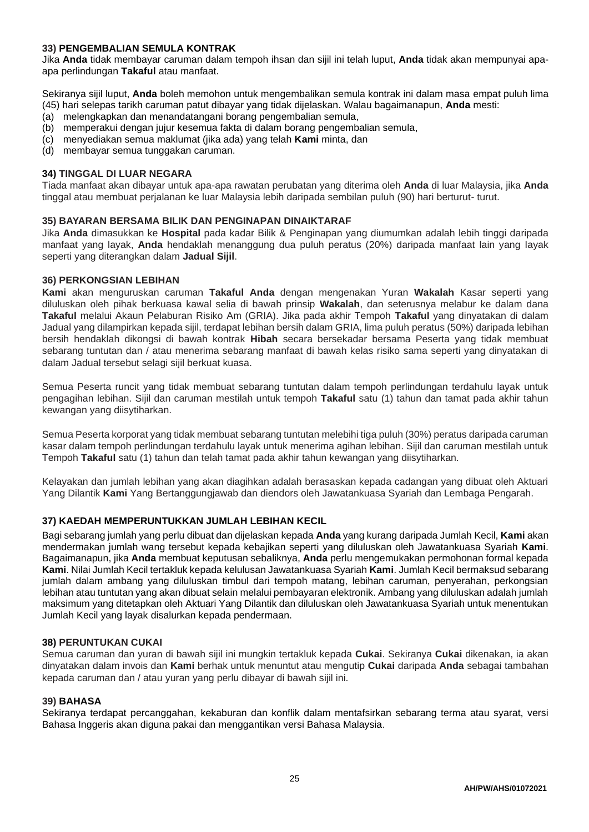# **33) PENGEMBALIAN SEMULA KONTRAK**

Jika **Anda** tidak membayar caruman dalam tempoh ihsan dan sijil ini telah luput, **Anda** tidak akan mempunyai apaapa perlindungan **Takaful** atau manfaat.

Sekiranya sijil luput, **Anda** boleh memohon untuk mengembalikan semula kontrak ini dalam masa empat puluh lima (45) hari selepas tarikh caruman patut dibayar yang tidak dijelaskan. Walau bagaimanapun, **Anda** mesti:

- (a) melengkapkan dan menandatangani borang pengembalian semula,
- (b) memperakui dengan jujur kesemua fakta di dalam borang pengembalian semula,
- (c) menyediakan semua maklumat (jika ada) yang telah **Kami** minta, dan
- (d) membayar semua tunggakan caruman.

## **34) TINGGAL DI LUAR NEGARA**

Tiada manfaat akan dibayar untuk apa-apa rawatan perubatan yang diterima oleh **Anda** di luar Malaysia, jika **Anda** tinggal atau membuat perjalanan ke luar Malaysia lebih daripada sembilan puluh (90) hari berturut- turut.

#### **35) BAYARAN BERSAMA BILIK DAN PENGINAPAN DINAIKTARAF**

Jika **Anda** dimasukkan ke **Hospital** pada kadar Bilik & Penginapan yang diumumkan adalah lebih tinggi daripada manfaat yang layak, **Anda** hendaklah menanggung dua puluh peratus (20%) daripada manfaat lain yang Iayak seperti yang diterangkan dalam **Jadual Sijil**.

#### **36) PERKONGSIAN LEBIHAN**

**Kami** akan menguruskan caruman **Takaful Anda** dengan mengenakan Yuran **Wakalah** Kasar seperti yang diluluskan oleh pihak berkuasa kawal selia di bawah prinsip **Wakalah**, dan seterusnya melabur ke dalam dana **Takaful** melalui Akaun Pelaburan Risiko Am (GRIA). Jika pada akhir Tempoh **Takaful** yang dinyatakan di dalam Jadual yang dilampirkan kepada sijil, terdapat lebihan bersih dalam GRIA, lima puluh peratus (50%) daripada lebihan bersih hendaklah dikongsi di bawah kontrak **Hibah** secara bersekadar bersama Peserta yang tidak membuat sebarang tuntutan dan / atau menerima sebarang manfaat di bawah kelas risiko sama seperti yang dinyatakan di dalam Jadual tersebut selagi sijil berkuat kuasa.

Semua Peserta runcit yang tidak membuat sebarang tuntutan dalam tempoh perlindungan terdahulu layak untuk pengagihan lebihan. Sijil dan caruman mestilah untuk tempoh **Takaful** satu (1) tahun dan tamat pada akhir tahun kewangan yang diisytiharkan.

Semua Peserta korporat yang tidak membuat sebarang tuntutan melebihi tiga puluh (30%) peratus daripada caruman kasar dalam tempoh perlindungan terdahulu layak untuk menerima agihan lebihan. Sijil dan caruman mestilah untuk Tempoh **Takaful** satu (1) tahun dan telah tamat pada akhir tahun kewangan yang diisytiharkan.

Kelayakan dan jumlah lebihan yang akan diagihkan adalah berasaskan kepada cadangan yang dibuat oleh Aktuari Yang Dilantik **Kami** Yang Bertanggungjawab dan diendors oleh Jawatankuasa Syariah dan Lembaga Pengarah.

## **37) KAEDAH MEMPERUNTUKKAN JUMLAH LEBIHAN KECIL**

Bagi sebarang jumlah yang perlu dibuat dan dijelaskan kepada **Anda** yang kurang daripada Jumlah Kecil, **Kami** akan mendermakan jumlah wang tersebut kepada kebajikan seperti yang diluluskan oleh Jawatankuasa Syariah **Kami**. Bagaimanapun, jika **Anda** membuat keputusan sebaliknya, **Anda** perlu mengemukakan permohonan formal kepada **Kami**. Nilai Jumlah Kecil tertakluk kepada kelulusan Jawatankuasa Syariah **Kami**. Jumlah Kecil bermaksud sebarang jumlah dalam ambang yang diluluskan timbul dari tempoh matang, lebihan caruman, penyerahan, perkongsian lebihan atau tuntutan yang akan dibuat selain melalui pembayaran elektronik. Ambang yang diluluskan adalah jumlah maksimum yang ditetapkan oleh Aktuari Yang Dilantik dan diluluskan oleh Jawatankuasa Syariah untuk menentukan Jumlah Kecil yang layak disalurkan kepada pendermaan.

#### **38) PERUNTUKAN CUKAI**

Semua caruman dan yuran di bawah sijil ini mungkin tertakluk kepada **Cukai**. Sekiranya **Cukai** dikenakan, ia akan dinyatakan dalam invois dan **Kami** berhak untuk menuntut atau mengutip **Cukai** daripada **Anda** sebagai tambahan kepada caruman dan / atau yuran yang perlu dibayar di bawah sijil ini.

#### **39) BAHASA**

Sekiranya terdapat percanggahan, kekaburan dan konflik dalam mentafsirkan sebarang terma atau syarat, versi Bahasa Inggeris akan diguna pakai dan menggantikan versi Bahasa Malaysia.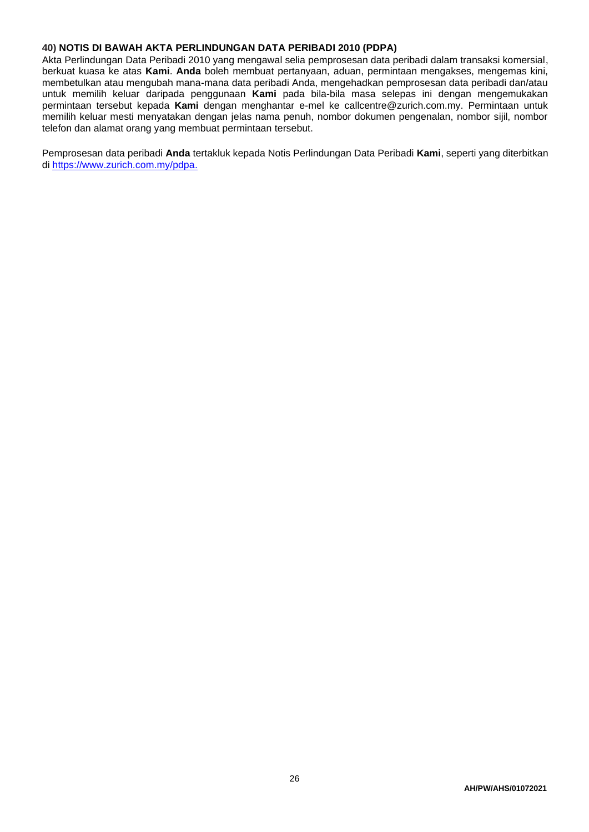## **40) NOTIS DI BAWAH AKTA PERLINDUNGAN DATA PERIBADI 2010 (PDPA)**

Akta Perlindungan Data Peribadi 2010 yang mengawal selia pemprosesan data peribadi dalam transaksi komersial, berkuat kuasa ke atas **Kami**. **Anda** boleh membuat pertanyaan, aduan, permintaan mengakses, mengemas kini, membetulkan atau mengubah mana-mana data peribadi Anda, mengehadkan pemprosesan data peribadi dan/atau untuk memilih keluar daripada penggunaan **Kami** pada bila-bila masa selepas ini dengan mengemukakan permintaan tersebut kepada **Kami** dengan menghantar e-mel ke callcentre@zurich.com.my. Permintaan untuk memilih keluar mesti menyatakan dengan jelas nama penuh, nombor dokumen pengenalan, nombor sijil, nombor telefon dan alamat orang yang membuat permintaan tersebut.

Pemprosesan data peribadi **Anda** tertakluk kepada Notis Perlindungan Data Peribadi **Kami**, seperti yang diterbitkan di [https://www.zurich.com.my/pdpa.](https://www.zurich.com.my/pdpa)